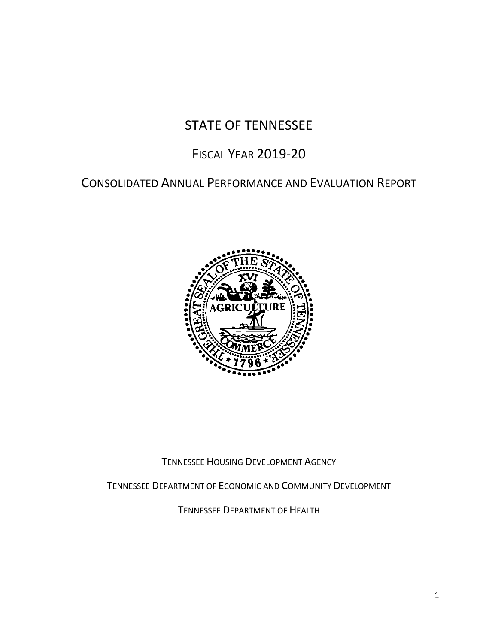# STATE OF TENNESSEE

# FISCAL YEAR 2019-20

# CONSOLIDATED ANNUAL PERFORMANCE AND EVALUATION REPORT



TENNESSEE HOUSING DEVELOPMENT AGENCY

TENNESSEE DEPARTMENT OF ECONOMIC AND COMMUNITY DEVELOPMENT

TENNESSEE DEPARTMENT OF HEALTH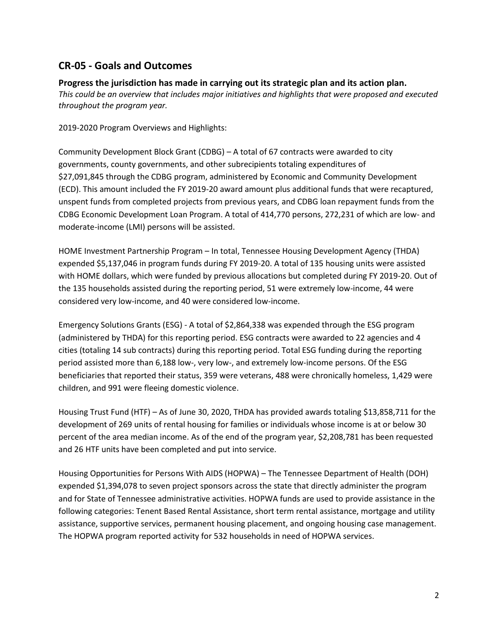# **CR-05 - Goals and Outcomes**

#### **Progress the jurisdiction has made in carrying out its strategic plan and its action plan.**

*This could be an overview that includes major initiatives and highlights that were proposed and executed throughout the program year.*

2019-2020 Program Overviews and Highlights:

Community Development Block Grant (CDBG) – A total of 67 contracts were awarded to city governments, county governments, and other subrecipients totaling expenditures of \$27,091,845 through the CDBG program, administered by Economic and Community Development (ECD). This amount included the FY 2019-20 award amount plus additional funds that were recaptured, unspent funds from completed projects from previous years, and CDBG loan repayment funds from the CDBG Economic Development Loan Program. A total of 414,770 persons, 272,231 of which are low- and moderate-income (LMI) persons will be assisted.

HOME Investment Partnership Program – In total, Tennessee Housing Development Agency (THDA) expended \$5,137,046 in program funds during FY 2019-20. A total of 135 housing units were assisted with HOME dollars, which were funded by previous allocations but completed during FY 2019-20. Out of the 135 households assisted during the reporting period, 51 were extremely low-income, 44 were considered very low-income, and 40 were considered low-income.

Emergency Solutions Grants (ESG) - A total of \$2,864,338 was expended through the ESG program (administered by THDA) for this reporting period. ESG contracts were awarded to 22 agencies and 4 cities (totaling 14 sub contracts) during this reporting period. Total ESG funding during the reporting period assisted more than 6,188 low-, very low-, and extremely low-income persons. Of the ESG beneficiaries that reported their status, 359 were veterans, 488 were chronically homeless, 1,429 were children, and 991 were fleeing domestic violence.

Housing Trust Fund (HTF) – As of June 30, 2020, THDA has provided awards totaling \$13,858,711 for the development of 269 units of rental housing for families or individuals whose income is at or below 30 percent of the area median income. As of the end of the program year, \$2,208,781 has been requested and 26 HTF units have been completed and put into service.

Housing Opportunities for Persons With AIDS (HOPWA) – The Tennessee Department of Health (DOH) expended \$1,394,078 to seven project sponsors across the state that directly administer the program and for State of Tennessee administrative activities. HOPWA funds are used to provide assistance in the following categories: Tenent Based Rental Assistance, short term rental assistance, mortgage and utility assistance, supportive services, permanent housing placement, and ongoing housing case management. The HOPWA program reported activity for 532 households in need of HOPWA services.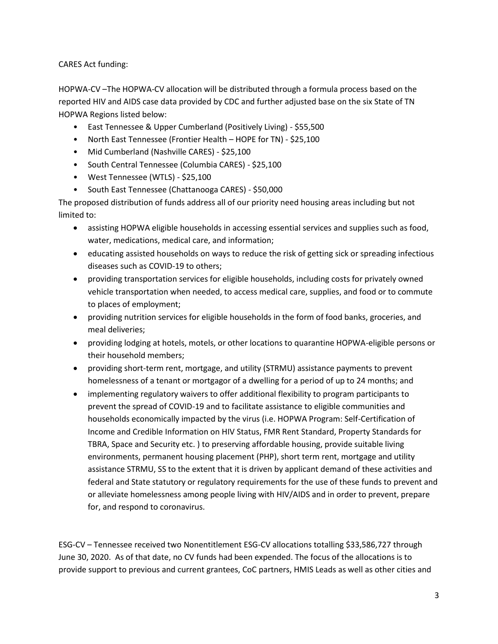CARES Act funding:

HOPWA-CV –The HOPWA-CV allocation will be distributed through a formula process based on the reported HIV and AIDS case data provided by CDC and further adjusted base on the six State of TN HOPWA Regions listed below:

- East Tennessee & Upper Cumberland (Positively Living) \$55,500
- North East Tennessee (Frontier Health HOPE for TN) \$25,100
- Mid Cumberland (Nashville CARES) \$25,100
- South Central Tennessee (Columbia CARES) \$25,100
- West Tennessee (WTLS) \$25,100
- South East Tennessee (Chattanooga CARES) \$50,000

The proposed distribution of funds address all of our priority need housing areas including but not limited to:

- assisting HOPWA eligible households in accessing essential services and supplies such as food, water, medications, medical care, and information;
- **•** educating assisted households on ways to reduce the risk of getting sick or spreading infectious diseases such as COVID-19 to others;
- providing transportation services for eligible households, including costs for privately owned vehicle transportation when needed, to access medical care, supplies, and food or to commute to places of employment;
- providing nutrition services for eligible households in the form of food banks, groceries, and meal deliveries;
- providing lodging at hotels, motels, or other locations to quarantine HOPWA-eligible persons or their household members;
- providing short-term rent, mortgage, and utility (STRMU) assistance payments to prevent homelessness of a tenant or mortgagor of a dwelling for a period of up to 24 months; and
- implementing regulatory waivers to offer additional flexibility to program participants to prevent the spread of COVID-19 and to facilitate assistance to eligible communities and households economically impacted by the virus (i.e. HOPWA Program: Self-Certification of Income and Credible Information on HIV Status, FMR Rent Standard, Property Standards for TBRA, Space and Security etc. ) to preserving affordable housing, provide suitable living environments, permanent housing placement (PHP), short term rent, mortgage and utility assistance STRMU, SS to the extent that it is driven by applicant demand of these activities and federal and State statutory or regulatory requirements for the use of these funds to prevent and or alleviate homelessness among people living with HIV/AIDS and in order to prevent, prepare for, and respond to coronavirus.

ESG-CV – Tennessee received two Nonentitlement ESG-CV allocations totalling \$33,586,727 through June 30, 2020. As of that date, no CV funds had been expended. The focus of the allocations is to provide support to previous and current grantees, CoC partners, HMIS Leads as well as other cities and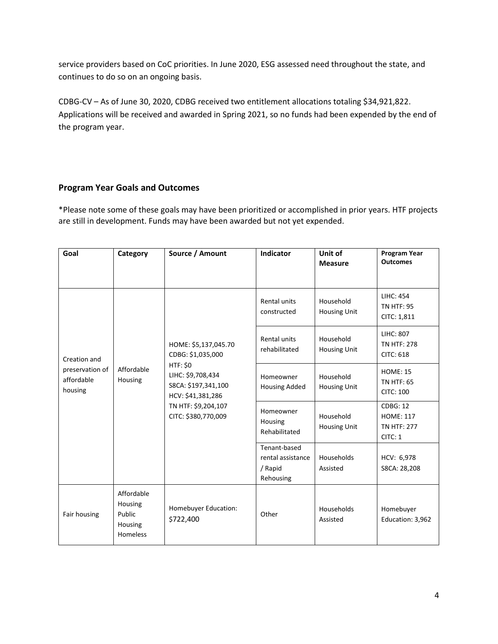service providers based on CoC priorities. In June 2020, ESG assessed need throughout the state, and continues to do so on an ongoing basis.

CDBG-CV – As of June 30, 2020, CDBG received two entitlement allocations totaling \$34,921,822. Applications will be received and awarded in Spring 2021, so no funds had been expended by the end of the program year.

#### **Program Year Goals and Outcomes**

\*Please note some of these goals may have been prioritized or accomplished in prior years. HTF projects are still in development. Funds may have been awarded but not yet expended.

| Goal                                                     | Category                                               | Source / Amount                                                                                                                                                             | Indicator                                                 | Unit of<br><b>Measure</b>        | <b>Program Year</b><br><b>Outcomes</b>                                                                                                                        |
|----------------------------------------------------------|--------------------------------------------------------|-----------------------------------------------------------------------------------------------------------------------------------------------------------------------------|-----------------------------------------------------------|----------------------------------|---------------------------------------------------------------------------------------------------------------------------------------------------------------|
| Creation and<br>preservation of<br>affordable<br>housing |                                                        |                                                                                                                                                                             | Rental units<br>constructed                               | Household<br><b>Housing Unit</b> | <b>LIHC: 454</b><br><b>TN HTF: 95</b><br>CITC: 1,811                                                                                                          |
|                                                          |                                                        | HOME: \$5,137,045.70<br>CDBG: \$1,035,000<br><b>HTF: \$0</b><br>LIHC: \$9,708,434<br>S8CA: \$197,341,100<br>HCV: \$41,381,286<br>TN HTF: \$9,204,107<br>CITC: \$380,770,009 | Rental units<br>rehabilitated                             | Household<br><b>Housing Unit</b> | <b>LIHC: 807</b><br><b>TN HTF: 278</b><br><b>CITC: 618</b><br><b>HOME: 15</b><br><b>TN HTF: 65</b><br><b>CITC: 100</b><br><b>CDBG: 12</b><br><b>HOME: 117</b> |
|                                                          | Affordable<br>Housing                                  |                                                                                                                                                                             | Homeowner<br><b>Housing Added</b>                         | Household<br><b>Housing Unit</b> |                                                                                                                                                               |
|                                                          |                                                        |                                                                                                                                                                             | Homeowner<br>Housing<br>Rehabilitated                     | Household<br><b>Housing Unit</b> | <b>TN HTF: 277</b><br>CITC: 1                                                                                                                                 |
|                                                          |                                                        |                                                                                                                                                                             | Tenant-based<br>rental assistance<br>/ Rapid<br>Rehousing | Households<br>Assisted           | HCV: 6,978<br>S8CA: 28,208                                                                                                                                    |
| Fair housing                                             | Affordable<br>Housing<br>Public<br>Housing<br>Homeless | Homebuyer Education:<br>\$722,400                                                                                                                                           | Other                                                     | Households<br>Assisted           | Homebuyer<br>Education: 3,962                                                                                                                                 |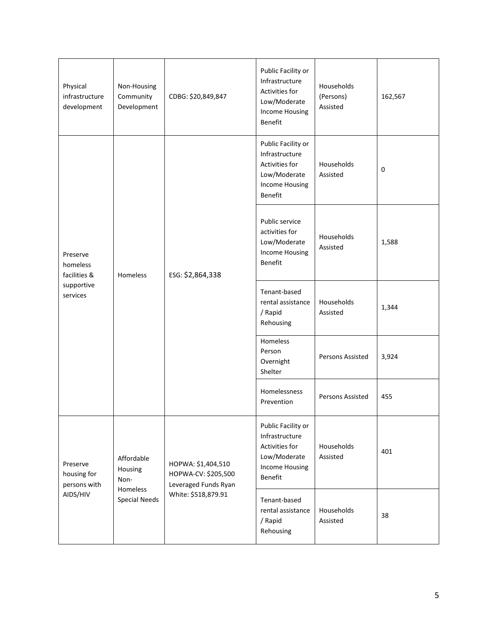| Physical<br>infrastructure<br>development                      | Non-Housing<br>Community<br>Development | CDBG: \$20,849,847                                                | Public Facility or<br>Infrastructure<br>Activities for<br>Low/Moderate<br><b>Income Housing</b><br><b>Benefit</b> | Households<br>(Persons)<br>Assisted | 162,567     |
|----------------------------------------------------------------|-----------------------------------------|-------------------------------------------------------------------|-------------------------------------------------------------------------------------------------------------------|-------------------------------------|-------------|
| Preserve<br>homeless<br>facilities &<br>supportive<br>services |                                         |                                                                   | Public Facility or<br>Infrastructure<br>Activities for<br>Low/Moderate<br><b>Income Housing</b><br><b>Benefit</b> | Households<br>Assisted              | $\mathbf 0$ |
|                                                                | Homeless                                | ESG: \$2,864,338                                                  | Public service<br>activities for<br>Low/Moderate<br><b>Income Housing</b><br>Benefit                              | Households<br>Assisted              | 1,588       |
|                                                                |                                         |                                                                   | Tenant-based<br>rental assistance<br>/ Rapid<br>Rehousing                                                         | Households<br>Assisted              | 1,344       |
|                                                                |                                         |                                                                   | Homeless<br>Person<br>Overnight<br>Shelter                                                                        | Persons Assisted                    | 3,924       |
|                                                                |                                         |                                                                   | Homelessness<br>Prevention                                                                                        | Persons Assisted                    | 455         |
| Preserve<br>housing for<br>persons with<br>AIDS/HIV            | Affordable<br>Housing<br>Non-           | HOPWA: \$1,404,510<br>HOPWA-CV: \$205,500<br>Leveraged Funds Ryan | Public Facility or<br>Infrastructure<br>Activities for<br>Low/Moderate<br><b>Income Housing</b><br><b>Benefit</b> | Households<br>Assisted              | 401         |
|                                                                | Homeless<br>Special Needs               | White: \$518,879.91                                               | Tenant-based<br>rental assistance<br>/ Rapid<br>Rehousing                                                         | Households<br>Assisted              | 38          |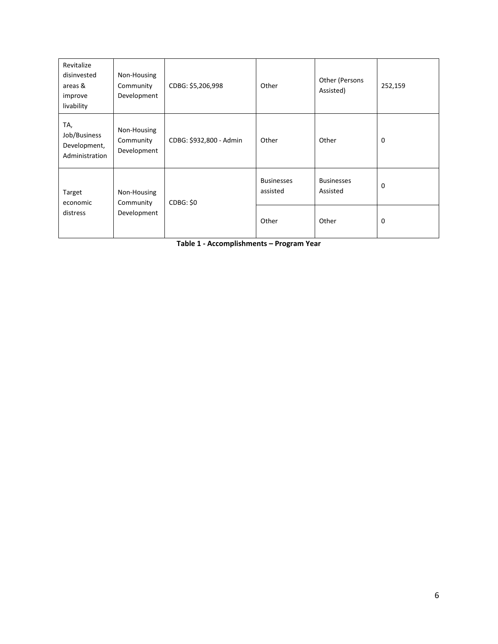| Revitalize<br>disinvested<br>areas &<br>improve<br>livability | Non-Housing<br>Community<br>Development | CDBG: \$5,206,998       | Other                         | Other (Persons<br>Assisted)   | 252,159     |
|---------------------------------------------------------------|-----------------------------------------|-------------------------|-------------------------------|-------------------------------|-------------|
| TA,<br>Job/Business<br>Development,<br>Administration         | Non-Housing<br>Community<br>Development | CDBG: \$932,800 - Admin | Other                         | Other                         | $\mathbf 0$ |
| Target<br>economic                                            | Non-Housing<br>Community                | CDBG: \$0               | <b>Businesses</b><br>assisted | <b>Businesses</b><br>Assisted | 0           |
| Development<br>distress                                       |                                         | Other                   | Other                         | 0                             |             |

**Table 1 - Accomplishments – Program Year**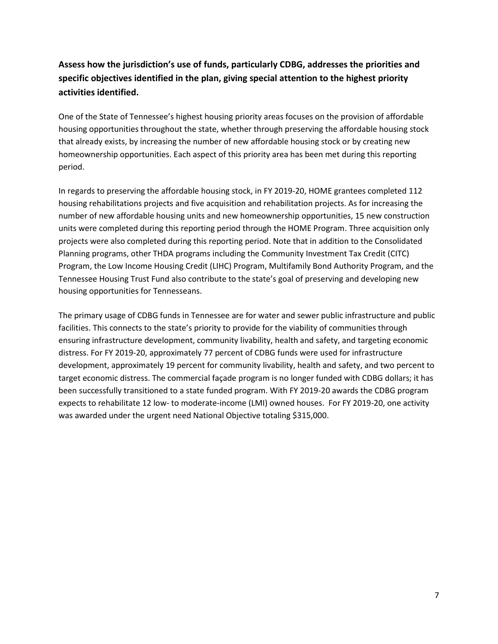# **Assess how the jurisdiction's use of funds, particularly CDBG, addresses the priorities and specific objectives identified in the plan, giving special attention to the highest priority activities identified.**

One of the State of Tennessee's highest housing priority areas focuses on the provision of affordable housing opportunities throughout the state, whether through preserving the affordable housing stock that already exists, by increasing the number of new affordable housing stock or by creating new homeownership opportunities. Each aspect of this priority area has been met during this reporting period.

In regards to preserving the affordable housing stock, in FY 2019-20, HOME grantees completed 112 housing rehabilitations projects and five acquisition and rehabilitation projects. As for increasing the number of new affordable housing units and new homeownership opportunities, 15 new construction units were completed during this reporting period through the HOME Program. Three acquisition only projects were also completed during this reporting period. Note that in addition to the Consolidated Planning programs, other THDA programs including the Community Investment Tax Credit (CITC) Program, the Low Income Housing Credit (LIHC) Program, Multifamily Bond Authority Program, and the Tennessee Housing Trust Fund also contribute to the state's goal of preserving and developing new housing opportunities for Tennesseans.

The primary usage of CDBG funds in Tennessee are for water and sewer public infrastructure and public facilities. This connects to the state's priority to provide for the viability of communities through ensuring infrastructure development, community livability, health and safety, and targeting economic distress. For FY 2019-20, approximately 77 percent of CDBG funds were used for infrastructure development, approximately 19 percent for community livability, health and safety, and two percent to target economic distress. The commercial façade program is no longer funded with CDBG dollars; it has been successfully transitioned to a state funded program. With FY 2019-20 awards the CDBG program expects to rehabilitate 12 low- to moderate-income (LMI) owned houses. For FY 2019-20, one activity was awarded under the urgent need National Objective totaling \$315,000.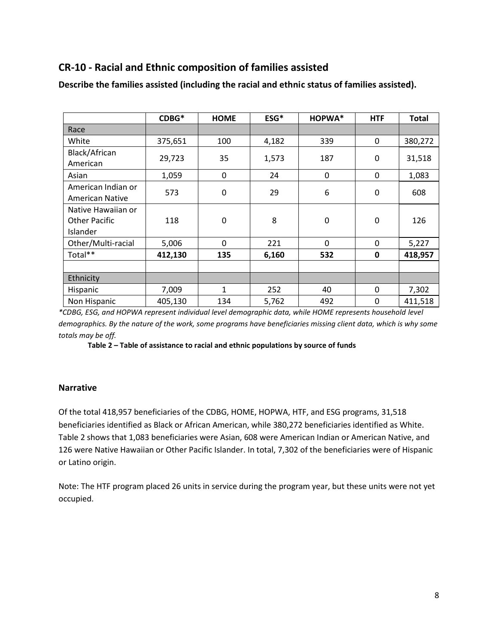## **CR-10 - Racial and Ethnic composition of families assisted**

|                                                        | CDBG*   | <b>HOME</b> | ESG*  | HOPWA*      | <b>HTF</b>  | <b>Total</b> |
|--------------------------------------------------------|---------|-------------|-------|-------------|-------------|--------------|
| Race                                                   |         |             |       |             |             |              |
| White                                                  | 375,651 | 100         | 4,182 | 339         | 0           | 380,272      |
| Black/African<br>American                              | 29,723  | 35          | 1,573 | 187         | 0           | 31,518       |
| Asian                                                  | 1,059   | 0           | 24    | 0           | 0           | 1,083        |
| American Indian or<br><b>American Native</b>           | 573     | 0           | 29    | 6           | $\mathbf 0$ | 608          |
| Native Hawaiian or<br><b>Other Pacific</b><br>Islander | 118     | 0           | 8     | $\mathbf 0$ | $\mathbf 0$ | 126          |
| Other/Multi-racial                                     | 5,006   | 0           | 221   | $\mathbf 0$ | $\mathbf 0$ | 5,227        |
| Total**                                                | 412,130 | 135         | 6,160 | 532         | $\mathbf 0$ | 418,957      |
|                                                        |         |             |       |             |             |              |
| Ethnicity                                              |         |             |       |             |             |              |
| Hispanic                                               | 7,009   | 1           | 252   | 40          | 0           | 7,302        |
| Non Hispanic                                           | 405,130 | 134         | 5,762 | 492         | 0           | 411,518      |

**Describe the families assisted (including the racial and ethnic status of families assisted).**

*\*CDBG, ESG, and HOPWA represent individual level demographic data, while HOME represents household level demographics. By the nature of the work, some programs have beneficiaries missing client data, which is why some totals may be off.*

**Table 2 – Table of assistance to racial and ethnic populations by source of funds**

#### **Narrative**

Of the total 418,957 beneficiaries of the CDBG, HOME, HOPWA, HTF, and ESG programs, 31,518 beneficiaries identified as Black or African American, while 380,272 beneficiaries identified as White. Table 2 shows that 1,083 beneficiaries were Asian, 608 were American Indian or American Native, and 126 were Native Hawaiian or Other Pacific Islander. In total, 7,302 of the beneficiaries were of Hispanic or Latino origin.

Note: The HTF program placed 26 units in service during the program year, but these units were not yet occupied.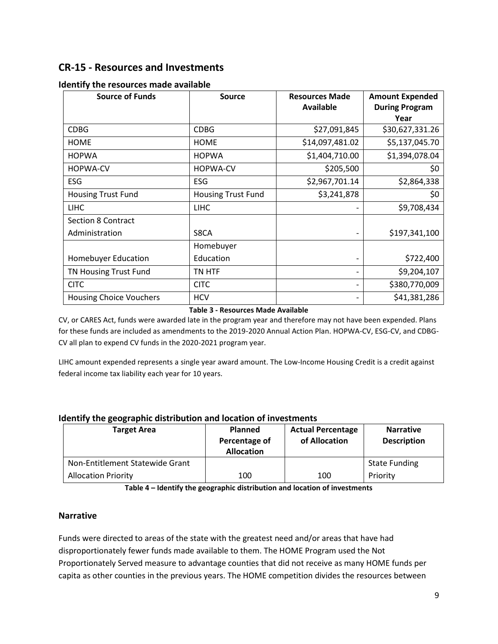## **CR-15 - Resources and Investments**

| <b>Source of Funds</b>         | <b>Source</b>             | <b>Resources Made</b><br><b>Available</b> | <b>Amount Expended</b><br><b>During Program</b><br>Year |
|--------------------------------|---------------------------|-------------------------------------------|---------------------------------------------------------|
| <b>CDBG</b>                    | <b>CDBG</b>               | \$27,091,845                              | \$30,627,331.26                                         |
| <b>HOME</b>                    | <b>HOME</b>               | \$14,097,481.02                           | \$5,137,045.70                                          |
| <b>HOPWA</b>                   | <b>HOPWA</b>              | \$1,404,710.00                            | \$1,394,078.04                                          |
| <b>HOPWA-CV</b>                | <b>HOPWA-CV</b>           | \$205,500                                 | \$0                                                     |
| <b>ESG</b>                     | <b>ESG</b>                | \$2,967,701.14                            | \$2,864,338                                             |
| <b>Housing Trust Fund</b>      | <b>Housing Trust Fund</b> | \$3,241,878                               | \$0                                                     |
| <b>LIHC</b>                    | <b>LIHC</b>               |                                           | \$9,708,434                                             |
| <b>Section 8 Contract</b>      |                           |                                           |                                                         |
| Administration                 | S8CA                      |                                           | \$197,341,100                                           |
|                                | Homebuyer                 |                                           |                                                         |
| <b>Homebuyer Education</b>     | Education                 |                                           | \$722,400                                               |
| TN Housing Trust Fund          | TN HTF                    |                                           | \$9,204,107                                             |
| <b>CITC</b>                    | <b>CITC</b>               |                                           | \$380,770,009                                           |
| <b>Housing Choice Vouchers</b> | <b>HCV</b>                |                                           | \$41,381,286                                            |

#### **Identify the resources made available**

#### **Table 3 - Resources Made Available**

CV, or CARES Act, funds were awarded late in the program year and therefore may not have been expended. Plans for these funds are included as amendments to the 2019-2020 Annual Action Plan. HOPWA-CV, ESG-CV, and CDBG-CV all plan to expend CV funds in the 2020-2021 program year.

LIHC amount expended represents a single year award amount. The Low-Income Housing Credit is a credit against federal income tax liability each year for 10 years.

| <b>Target Area</b>              | <b>Planned</b><br>Percentage of<br><b>Allocation</b> | <b>Actual Percentage</b><br>of Allocation | <b>Narrative</b><br><b>Description</b> |
|---------------------------------|------------------------------------------------------|-------------------------------------------|----------------------------------------|
| Non-Entitlement Statewide Grant |                                                      |                                           | <b>State Funding</b>                   |
| <b>Allocation Priority</b>      | 100                                                  | 100                                       | Priority                               |

**Table 4 – Identify the geographic distribution and location of investments**

#### **Narrative**

Funds were directed to areas of the state with the greatest need and/or areas that have had disproportionately fewer funds made available to them. The HOME Program used the Not Proportionately Served measure to advantage counties that did not receive as many HOME funds per capita as other counties in the previous years. The HOME competition divides the resources between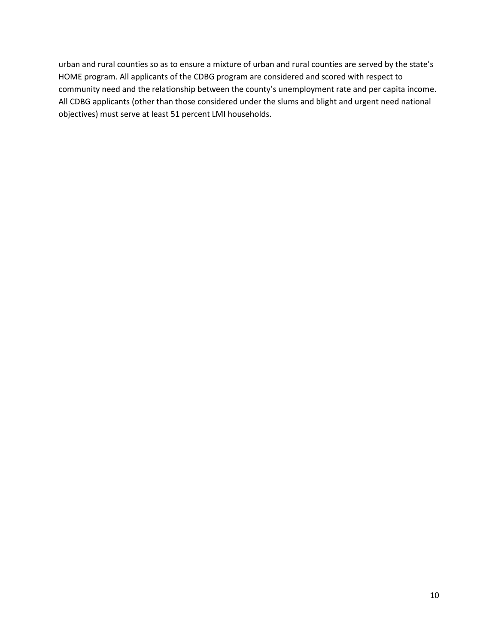urban and rural counties so as to ensure a mixture of urban and rural counties are served by the state's HOME program. All applicants of the CDBG program are considered and scored with respect to community need and the relationship between the county's unemployment rate and per capita income. All CDBG applicants (other than those considered under the slums and blight and urgent need national objectives) must serve at least 51 percent LMI households.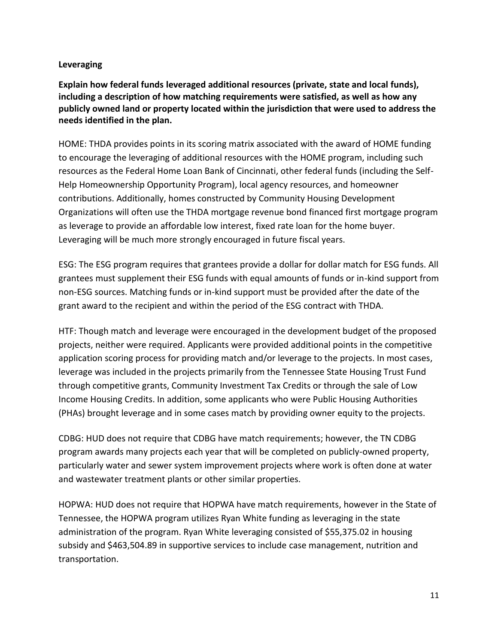### **Leveraging**

**Explain how federal funds leveraged additional resources (private, state and local funds), including a description of how matching requirements were satisfied, as well as how any publicly owned land or property located within the jurisdiction that were used to address the needs identified in the plan.**

HOME: THDA provides points in its scoring matrix associated with the award of HOME funding to encourage the leveraging of additional resources with the HOME program, including such resources as the Federal Home Loan Bank of Cincinnati, other federal funds (including the Self-Help Homeownership Opportunity Program), local agency resources, and homeowner contributions. Additionally, homes constructed by Community Housing Development Organizations will often use the THDA mortgage revenue bond financed first mortgage program as leverage to provide an affordable low interest, fixed rate loan for the home buyer. Leveraging will be much more strongly encouraged in future fiscal years.

ESG: The ESG program requires that grantees provide a dollar for dollar match for ESG funds. All grantees must supplement their ESG funds with equal amounts of funds or in-kind support from non-ESG sources. Matching funds or in-kind support must be provided after the date of the grant award to the recipient and within the period of the ESG contract with THDA.

HTF: Though match and leverage were encouraged in the development budget of the proposed projects, neither were required. Applicants were provided additional points in the competitive application scoring process for providing match and/or leverage to the projects. In most cases, leverage was included in the projects primarily from the Tennessee State Housing Trust Fund through competitive grants, Community Investment Tax Credits or through the sale of Low Income Housing Credits. In addition, some applicants who were Public Housing Authorities (PHAs) brought leverage and in some cases match by providing owner equity to the projects.

CDBG: HUD does not require that CDBG have match requirements; however, the TN CDBG program awards many projects each year that will be completed on publicly-owned property, particularly water and sewer system improvement projects where work is often done at water and wastewater treatment plants or other similar properties.

HOPWA: HUD does not require that HOPWA have match requirements, however in the State of Tennessee, the HOPWA program utilizes Ryan White funding as leveraging in the state administration of the program. Ryan White leveraging consisted of \$55,375.02 in housing subsidy and \$463,504.89 in supportive services to include case management, nutrition and transportation.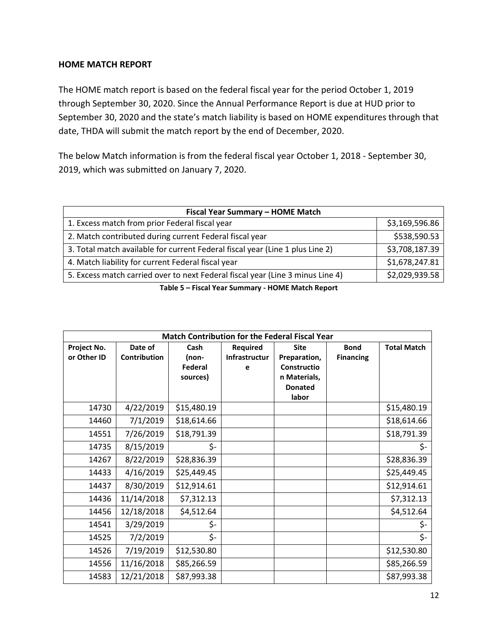### **HOME MATCH REPORT**

The HOME match report is based on the federal fiscal year for the period October 1, 2019 through September 30, 2020. Since the Annual Performance Report is due at HUD prior to September 30, 2020 and the state's match liability is based on HOME expenditures through that date, THDA will submit the match report by the end of December, 2020.

The below Match information is from the federal fiscal year October 1, 2018 - September 30, 2019, which was submitted on January 7, 2020.

| Fiscal Year Summary - HOME Match                                               |                |  |  |  |
|--------------------------------------------------------------------------------|----------------|--|--|--|
| 1. Excess match from prior Federal fiscal year                                 | \$3,169,596.86 |  |  |  |
| 2. Match contributed during current Federal fiscal year                        | \$538,590.53   |  |  |  |
| 3. Total match available for current Federal fiscal year (Line 1 plus Line 2)  | \$3,708,187.39 |  |  |  |
| 4. Match liability for current Federal fiscal year                             | \$1,678,247.81 |  |  |  |
| 5. Excess match carried over to next Federal fiscal year (Line 3 minus Line 4) | \$2,029,939.58 |  |  |  |
| Table 5 - Fiscal Year Summary - HOME Match Report                              |                |  |  |  |

| <b>Match Contribution for the Federal Fiscal Year</b> |              |             |                      |                         |                  |                    |
|-------------------------------------------------------|--------------|-------------|----------------------|-------------------------|------------------|--------------------|
| Project No.                                           | Date of      | Cash        | <b>Required</b>      | <b>Site</b>             | <b>Bond</b>      | <b>Total Match</b> |
| or Other ID                                           | Contribution | (non-       | <b>Infrastructur</b> | Preparation,            | <b>Financing</b> |                    |
|                                                       |              | Federal     | е                    | Constructio             |                  |                    |
|                                                       |              | sources)    |                      | n Materials,            |                  |                    |
|                                                       |              |             |                      | <b>Donated</b><br>labor |                  |                    |
| 14730                                                 | 4/22/2019    | \$15,480.19 |                      |                         |                  | \$15,480.19        |
|                                                       |              |             |                      |                         |                  |                    |
| 14460                                                 | 7/1/2019     | \$18,614.66 |                      |                         |                  | \$18,614.66        |
| 14551                                                 | 7/26/2019    | \$18,791.39 |                      |                         |                  | \$18,791.39        |
| 14735                                                 | 8/15/2019    | \$-         |                      |                         |                  | \$-                |
| 14267                                                 | 8/22/2019    | \$28,836.39 |                      |                         |                  | \$28,836.39        |
| 14433                                                 | 4/16/2019    | \$25,449.45 |                      |                         |                  | \$25,449.45        |
| 14437                                                 | 8/30/2019    | \$12,914.61 |                      |                         |                  | \$12,914.61        |
| 14436                                                 | 11/14/2018   | \$7,312.13  |                      |                         |                  | \$7,312.13         |
| 14456                                                 | 12/18/2018   | \$4,512.64  |                      |                         |                  | \$4,512.64         |
| 14541                                                 | 3/29/2019    | \$-         |                      |                         |                  | \$-                |
| 14525                                                 | 7/2/2019     | \$-         |                      |                         |                  | \$-                |
| 14526                                                 | 7/19/2019    | \$12,530.80 |                      |                         |                  | \$12,530.80        |
| 14556                                                 | 11/16/2018   | \$85,266.59 |                      |                         |                  | \$85,266.59        |
| 14583                                                 | 12/21/2018   | \$87,993.38 |                      |                         |                  | \$87,993.38        |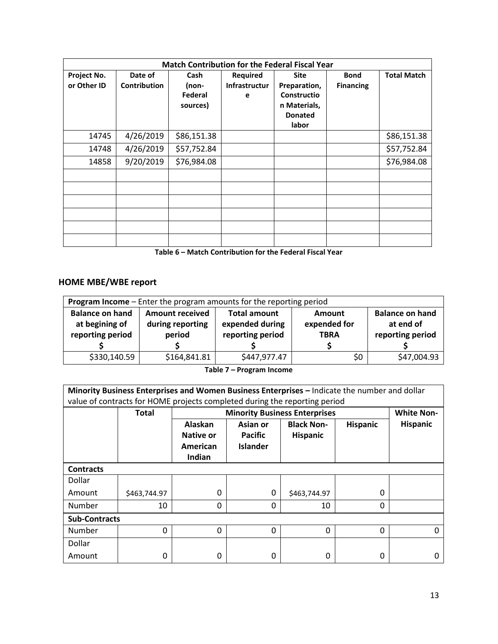| <b>Match Contribution for the Federal Fiscal Year</b> |                                |                                      |                                              |                                                                                       |                                 |                    |
|-------------------------------------------------------|--------------------------------|--------------------------------------|----------------------------------------------|---------------------------------------------------------------------------------------|---------------------------------|--------------------|
| Project No.<br>or Other ID                            | Date of<br><b>Contribution</b> | Cash<br>(non-<br>Federal<br>sources) | <b>Required</b><br><b>Infrastructur</b><br>е | <b>Site</b><br>Preparation,<br>Constructio<br>n Materials,<br><b>Donated</b><br>labor | <b>Bond</b><br><b>Financing</b> | <b>Total Match</b> |
| 14745                                                 | 4/26/2019                      | \$86,151.38                          |                                              |                                                                                       |                                 | \$86,151.38        |
| 14748                                                 | 4/26/2019                      | \$57,752.84                          |                                              |                                                                                       |                                 | \$57,752.84        |
| 14858                                                 | 9/20/2019                      | \$76,984.08                          |                                              |                                                                                       |                                 | \$76,984.08        |
|                                                       |                                |                                      |                                              |                                                                                       |                                 |                    |
|                                                       |                                |                                      |                                              |                                                                                       |                                 |                    |
|                                                       |                                |                                      |                                              |                                                                                       |                                 |                    |

**Table 6 – Match Contribution for the Federal Fiscal Year**

### **HOME MBE/WBE report**

| Program Income - Enter the program amounts for the reporting period |                                                                                   |                  |              |                  |  |  |  |
|---------------------------------------------------------------------|-----------------------------------------------------------------------------------|------------------|--------------|------------------|--|--|--|
| <b>Balance on hand</b>                                              | <b>Balance on hand</b><br><b>Total amount</b><br><b>Amount received</b><br>Amount |                  |              |                  |  |  |  |
| at begining of                                                      | during reporting                                                                  | expended during  | expended for | at end of        |  |  |  |
| reporting period                                                    | period                                                                            | reporting period | <b>TBRA</b>  | reporting period |  |  |  |
|                                                                     |                                                                                   |                  |              |                  |  |  |  |
| \$330,140.59                                                        | \$164,841.81                                                                      | \$447,977.47     | \$0          | \$47,004.93      |  |  |  |

**Table 7 – Program Income**

**Minority Business Enterprises and Women Business Enterprises –** Indicate the number and dollar value of contracts for HOME projects completed during the reporting period Total Minority Business Enterprises **White Non-**Alaskan | Asian<sup>or</sup> | Black Non- | Hispanic | Hispanic **Native or American Indian Asian or Pacific Islander Hispanic Hispanic**

**Contracts** Dollar

| Amount               | \$463,744.97 | 0 | 0 | \$463,744.97 |  |  |  |
|----------------------|--------------|---|---|--------------|--|--|--|
| Number               | 10           | υ |   | 10           |  |  |  |
| <b>Sub-Contracts</b> |              |   |   |              |  |  |  |
| Number               |              | υ |   | υ            |  |  |  |
| Dollar               |              |   |   |              |  |  |  |
| Amount               |              | 0 |   | 0            |  |  |  |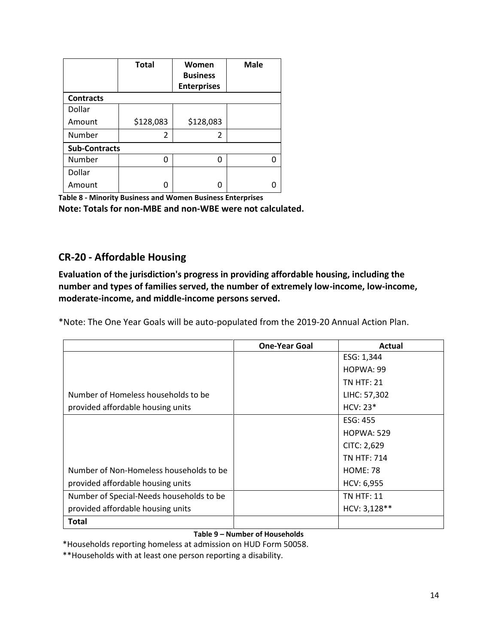|                      | <b>Total</b> | Women              | <b>Male</b> |
|----------------------|--------------|--------------------|-------------|
|                      |              | <b>Business</b>    |             |
|                      |              | <b>Enterprises</b> |             |
| <b>Contracts</b>     |              |                    |             |
| Dollar               |              |                    |             |
| Amount               | \$128,083    | \$128,083          |             |
| Number               | 2            | 2                  |             |
| <b>Sub-Contracts</b> |              |                    |             |
| Number               | O            | n                  | n           |
| Dollar               |              |                    |             |
| Amount               |              |                    |             |

**Table 8 - Minority Business and Women Business Enterprises Note: Totals for non-MBE and non-WBE were not calculated.** 

# **CR-20 - Affordable Housing**

**Evaluation of the jurisdiction's progress in providing affordable housing, including the number and types of families served, the number of extremely low-income, low-income, moderate-income, and middle-income persons served.**

\*Note: The One Year Goals will be auto-populated from the 2019-20 Annual Action Plan.

|                                          | <b>One-Year Goal</b> | Actual             |
|------------------------------------------|----------------------|--------------------|
|                                          |                      | ESG: 1,344         |
|                                          |                      | HOPWA: 99          |
|                                          |                      | <b>TN HTF: 21</b>  |
| Number of Homeless households to be      |                      | LIHC: 57,302       |
| provided affordable housing units        |                      | $HCV: 23*$         |
|                                          |                      | ESG: 455           |
|                                          |                      | <b>HOPWA: 529</b>  |
|                                          |                      | CITC: 2,629        |
|                                          |                      | <b>TN HTF: 714</b> |
| Number of Non-Homeless households to be  |                      | <b>HOME: 78</b>    |
| provided affordable housing units        |                      | HCV: 6,955         |
| Number of Special-Needs households to be |                      | <b>TN HTF: 11</b>  |
| provided affordable housing units        |                      | HCV: 3,128**       |
| Total                                    |                      |                    |

#### **Table 9 – Number of Households**

\*Households reporting homeless at admission on HUD Form 50058.

\*\*Households with at least one person reporting a disability.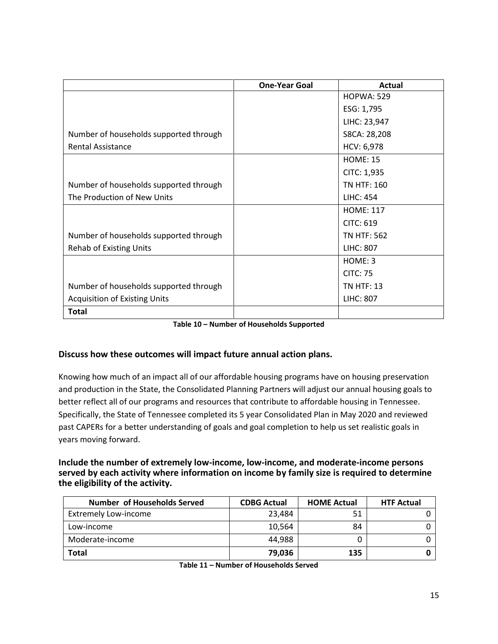|                                        | <b>One-Year Goal</b> | Actual             |
|----------------------------------------|----------------------|--------------------|
|                                        |                      | <b>HOPWA: 529</b>  |
|                                        |                      | ESG: 1,795         |
|                                        |                      | LIHC: 23,947       |
| Number of households supported through |                      | S8CA: 28,208       |
| <b>Rental Assistance</b>               |                      | HCV: 6,978         |
|                                        |                      | <b>HOME: 15</b>    |
|                                        |                      | CITC: 1,935        |
| Number of households supported through |                      | TN HTF: 160        |
| The Production of New Units            |                      | <b>LIHC: 454</b>   |
|                                        |                      | <b>HOME: 117</b>   |
|                                        |                      | <b>CITC: 619</b>   |
| Number of households supported through |                      | <b>TN HTF: 562</b> |
| <b>Rehab of Existing Units</b>         |                      | <b>LIHC: 807</b>   |
|                                        |                      | HOME: 3            |
|                                        |                      | <b>CITC: 75</b>    |
| Number of households supported through |                      | <b>TN HTF: 13</b>  |
| <b>Acquisition of Existing Units</b>   |                      | <b>LIHC: 807</b>   |
| <b>Total</b>                           |                      |                    |

| Table 10 - Number of Households Supported |
|-------------------------------------------|
|-------------------------------------------|

#### **Discuss how these outcomes will impact future annual action plans.**

Knowing how much of an impact all of our affordable housing programs have on housing preservation and production in the State, the Consolidated Planning Partners will adjust our annual housing goals to better reflect all of our programs and resources that contribute to affordable housing in Tennessee. Specifically, the State of Tennessee completed its 5 year Consolidated Plan in May 2020 and reviewed past CAPERs for a better understanding of goals and goal completion to help us set realistic goals in years moving forward.

#### **Include the number of extremely low-income, low-income, and moderate-income persons served by each activity where information on income by family size is required to determine the eligibility of the activity.**

| <b>Number of Households Served</b> | <b>CDBG Actual</b> | <b>HOME Actual</b> | <b>HTF Actual</b> |
|------------------------------------|--------------------|--------------------|-------------------|
| <b>Extremely Low-income</b>        | 23,484             |                    |                   |
| Low-income                         | 10,564             | 84                 |                   |
| Moderate-income                    | 44.988             |                    |                   |
| <b>Total</b>                       | 79.036             | 135                |                   |

**Table 11 – Number of Households Served**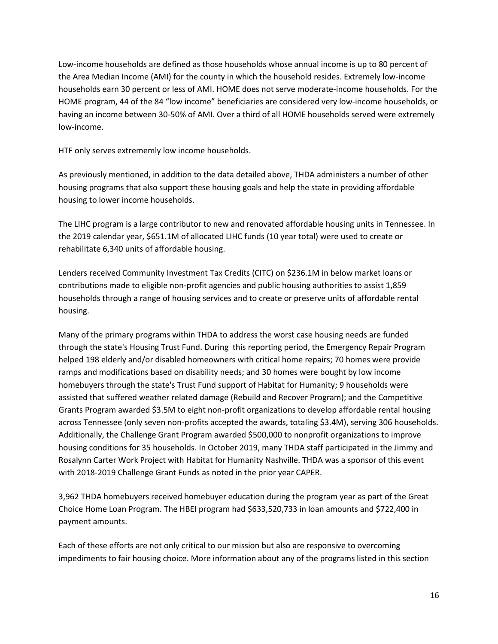Low-income households are defined as those households whose annual income is up to 80 percent of the Area Median Income (AMI) for the county in which the household resides. Extremely low-income households earn 30 percent or less of AMI. HOME does not serve moderate-income households. For the HOME program, 44 of the 84 "low income" beneficiaries are considered very low-income households, or having an income between 30-50% of AMI. Over a third of all HOME households served were extremely low-income.

HTF only serves extrememly low income households.

As previously mentioned, in addition to the data detailed above, THDA administers a number of other housing programs that also support these housing goals and help the state in providing affordable housing to lower income households.

The LIHC program is a large contributor to new and renovated affordable housing units in Tennessee. In the 2019 calendar year, \$651.1M of allocated LIHC funds (10 year total) were used to create or rehabilitate 6,340 units of affordable housing.

Lenders received Community Investment Tax Credits (CITC) on \$236.1M in below market loans or contributions made to eligible non-profit agencies and public housing authorities to assist 1,859 households through a range of housing services and to create or preserve units of affordable rental housing.

Many of the primary programs within THDA to address the worst case housing needs are funded through the state's Housing Trust Fund. During this reporting period, the Emergency Repair Program helped 198 elderly and/or disabled homeowners with critical home repairs; 70 homes were provide ramps and modifications based on disability needs; and 30 homes were bought by low income homebuyers through the state's Trust Fund support of Habitat for Humanity; 9 households were assisted that suffered weather related damage (Rebuild and Recover Program); and the Competitive Grants Program awarded \$3.5M to eight non-profit organizations to develop affordable rental housing across Tennessee (only seven non-profits accepted the awards, totaling \$3.4M), serving 306 households. Additionally, the Challenge Grant Program awarded \$500,000 to nonprofit organizations to improve housing conditions for 35 households. In October 2019, many THDA staff participated in the Jimmy and Rosalynn Carter Work Project with Habitat for Humanity Nashville. THDA was a sponsor of this event with 2018-2019 Challenge Grant Funds as noted in the prior year CAPER.

3,962 THDA homebuyers received homebuyer education during the program year as part of the Great Choice Home Loan Program. The HBEI program had \$633,520,733 in loan amounts and \$722,400 in payment amounts.

Each of these efforts are not only critical to our mission but also are responsive to overcoming impediments to fair housing choice. More information about any of the programs listed in this section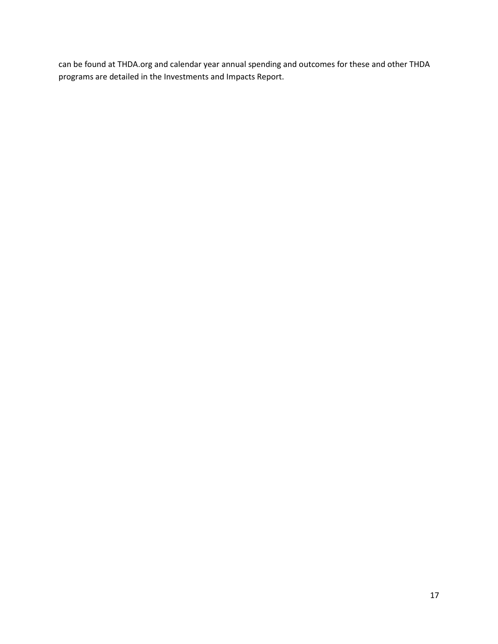can be found at THDA.org and calendar year annual spending and outcomes for these and other THDA programs are detailed in the Investments and Impacts Report.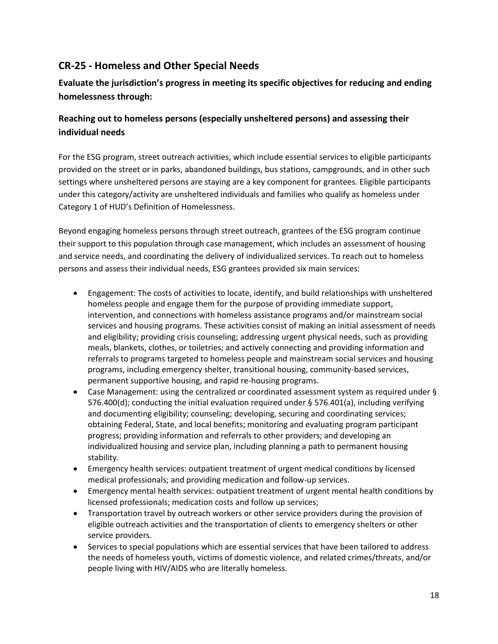# **CR-25 - Homeless and Other Special Needs**

## **Evaluate the jurisdiction's progress in meeting its specific objectives for reducing and ending homelessness through:**

### **Reaching out to homeless persons (especially unsheltered persons) and assessing their individual needs**

For the ESG program, street outreach activities, which include essential services to eligible participants provided on the street or in parks, abandoned buildings, bus stations, campgrounds, and in other such settings where unsheltered persons are staying are a key component for grantees. Eligible participants under this category/activity are unsheltered individuals and families who qualify as homeless under Category 1 of HUD's Definition of Homelessness.

Beyond engaging homeless persons through street outreach, grantees of the ESG program continue their support to this population through case management, which includes an assessment of housing and service needs, and coordinating the delivery of individualized services. To reach out to homeless persons and assess their individual needs, ESG grantees provided six main services:

- Engagement: The costs of activities to locate, identify, and build relationships with unsheltered homeless people and engage them for the purpose of providing immediate support, intervention, and connections with homeless assistance programs and/or mainstream social services and housing programs. These activities consist of making an initial assessment of needs and eligibility; providing crisis counseling; addressing urgent physical needs, such as providing meals, blankets, clothes, or toiletries; and actively connecting and providing information and referrals to programs targeted to homeless people and mainstream social services and housing programs, including emergency shelter, transitional housing, community-based services, permanent supportive housing, and rapid re-housing programs.
- Case Management: using the centralized or coordinated assessment system as required under § 576.400(d); conducting the initial evaluation required under § 576.401(a), including verifying and documenting eligibility; counseling; developing, securing and coordinating services; obtaining Federal, State, and local benefits; monitoring and evaluating program participant progress; providing information and referrals to other providers; and developing an individualized housing and service plan, including planning a path to permanent housing stability.
- Emergency health services: outpatient treatment of urgent medical conditions by licensed medical professionals; and providing medication and follow-up services.
- Emergency mental health services: outpatient treatment of urgent mental health conditions by licensed professionals; medication costs and follow up services;
- Transportation travel by outreach workers or other service providers during the provision of eligible outreach activities and the transportation of clients to emergency shelters or other service providers.
- Services to special populations which are essential services that have been tailored to address the needs of homeless youth, victims of domestic violence, and related crimes/threats, and/or people living with HIV/AIDS who are literally homeless.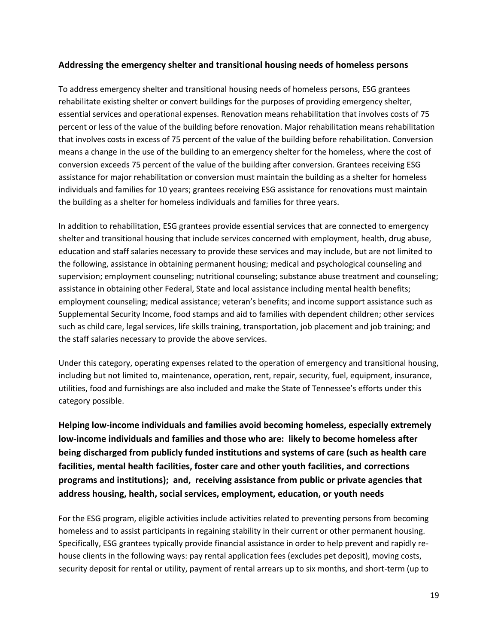#### **Addressing the emergency shelter and transitional housing needs of homeless persons**

To address emergency shelter and transitional housing needs of homeless persons, ESG grantees rehabilitate existing shelter or convert buildings for the purposes of providing emergency shelter, essential services and operational expenses. Renovation means rehabilitation that involves costs of 75 percent or less of the value of the building before renovation. Major rehabilitation means rehabilitation that involves costs in excess of 75 percent of the value of the building before rehabilitation. Conversion means a change in the use of the building to an emergency shelter for the homeless, where the cost of conversion exceeds 75 percent of the value of the building after conversion. Grantees receiving ESG assistance for major rehabilitation or conversion must maintain the building as a shelter for homeless individuals and families for 10 years; grantees receiving ESG assistance for renovations must maintain the building as a shelter for homeless individuals and families for three years.

In addition to rehabilitation, ESG grantees provide essential services that are connected to emergency shelter and transitional housing that include services concerned with employment, health, drug abuse, education and staff salaries necessary to provide these services and may include, but are not limited to the following, assistance in obtaining permanent housing; medical and psychological counseling and supervision; employment counseling; nutritional counseling; substance abuse treatment and counseling; assistance in obtaining other Federal, State and local assistance including mental health benefits; employment counseling; medical assistance; veteran's benefits; and income support assistance such as Supplemental Security Income, food stamps and aid to families with dependent children; other services such as child care, legal services, life skills training, transportation, job placement and job training; and the staff salaries necessary to provide the above services.

Under this category, operating expenses related to the operation of emergency and transitional housing, including but not limited to, maintenance, operation, rent, repair, security, fuel, equipment, insurance, utilities, food and furnishings are also included and make the State of Tennessee's efforts under this category possible.

**Helping low-income individuals and families avoid becoming homeless, especially extremely low-income individuals and families and those who are: likely to become homeless after being discharged from publicly funded institutions and systems of care (such as health care facilities, mental health facilities, foster care and other youth facilities, and corrections programs and institutions); and, receiving assistance from public or private agencies that address housing, health, social services, employment, education, or youth needs**

For the ESG program, eligible activities include activities related to preventing persons from becoming homeless and to assist participants in regaining stability in their current or other permanent housing. Specifically, ESG grantees typically provide financial assistance in order to help prevent and rapidly rehouse clients in the following ways: pay rental application fees (excludes pet deposit), moving costs, security deposit for rental or utility, payment of rental arrears up to six months, and short-term (up to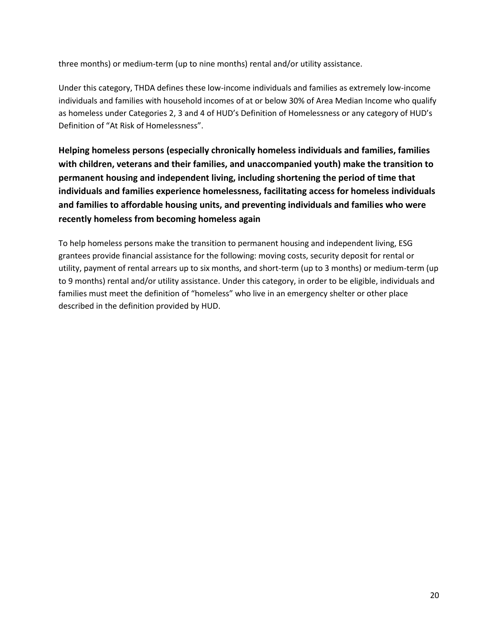three months) or medium-term (up to nine months) rental and/or utility assistance.

Under this category, THDA defines these low-income individuals and families as extremely low-income individuals and families with household incomes of at or below 30% of Area Median Income who qualify as homeless under Categories 2, 3 and 4 of HUD's Definition of Homelessness or any category of HUD's Definition of "At Risk of Homelessness".

**Helping homeless persons (especially chronically homeless individuals and families, families with children, veterans and their families, and unaccompanied youth) make the transition to permanent housing and independent living, including shortening the period of time that individuals and families experience homelessness, facilitating access for homeless individuals and families to affordable housing units, and preventing individuals and families who were recently homeless from becoming homeless again**

To help homeless persons make the transition to permanent housing and independent living, ESG grantees provide financial assistance for the following: moving costs, security deposit for rental or utility, payment of rental arrears up to six months, and short-term (up to 3 months) or medium-term (up to 9 months) rental and/or utility assistance. Under this category, in order to be eligible, individuals and families must meet the definition of "homeless" who live in an emergency shelter or other place described in the definition provided by HUD.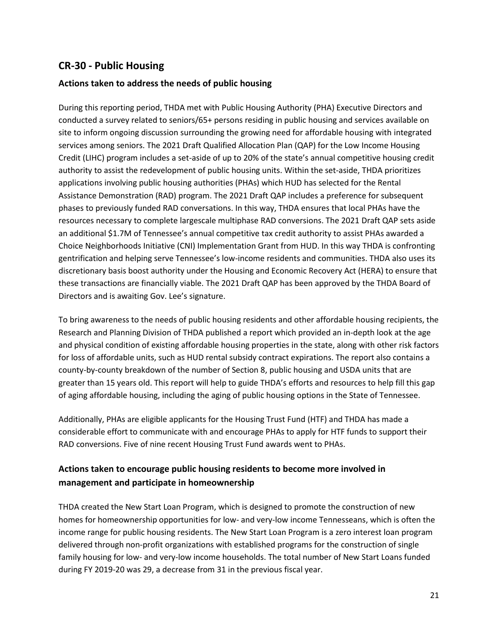### **CR-30 - Public Housing**

#### **Actions taken to address the needs of public housing**

During this reporting period, THDA met with Public Housing Authority (PHA) Executive Directors and conducted a survey related to seniors/65+ persons residing in public housing and services available on site to inform ongoing discussion surrounding the growing need for affordable housing with integrated services among seniors. The 2021 Draft Qualified Allocation Plan (QAP) for the Low Income Housing Credit (LIHC) program includes a set-aside of up to 20% of the state's annual competitive housing credit authority to assist the redevelopment of public housing units. Within the set-aside, THDA prioritizes applications involving public housing authorities (PHAs) which HUD has selected for the Rental Assistance Demonstration (RAD) program. The 2021 Draft QAP includes a preference for subsequent phases to previously funded RAD conversations. In this way, THDA ensures that local PHAs have the resources necessary to complete largescale multiphase RAD conversions. The 2021 Draft QAP sets aside an additional \$1.7M of Tennessee's annual competitive tax credit authority to assist PHAs awarded a Choice Neighborhoods Initiative (CNI) Implementation Grant from HUD. In this way THDA is confronting gentrification and helping serve Tennessee's low-income residents and communities. THDA also uses its discretionary basis boost authority under the Housing and Economic Recovery Act (HERA) to ensure that these transactions are financially viable. The 2021 Draft QAP has been approved by the THDA Board of Directors and is awaiting Gov. Lee's signature.

To bring awareness to the needs of public housing residents and other affordable housing recipients, the Research and Planning Division of THDA published a report which provided an in-depth look at the age and physical condition of existing affordable housing properties in the state, along with other risk factors for loss of affordable units, such as HUD rental subsidy contract expirations. The report also contains a county-by-county breakdown of the number of Section 8, public housing and USDA units that are greater than 15 years old. This report will help to guide THDA's efforts and resources to help fill this gap of aging affordable housing, including the aging of public housing options in the State of Tennessee.

Additionally, PHAs are eligible applicants for the Housing Trust Fund (HTF) and THDA has made a considerable effort to communicate with and encourage PHAs to apply for HTF funds to support their RAD conversions. Five of nine recent Housing Trust Fund awards went to PHAs.

### **Actions taken to encourage public housing residents to become more involved in management and participate in homeownership**

THDA created the New Start Loan Program, which is designed to promote the construction of new homes for homeownership opportunities for low- and very-low income Tennesseans, which is often the income range for public housing residents. The New Start Loan Program is a zero interest loan program delivered through non-profit organizations with established programs for the construction of single family housing for low- and very-low income households. The total number of New Start Loans funded during FY 2019-20 was 29, a decrease from 31 in the previous fiscal year.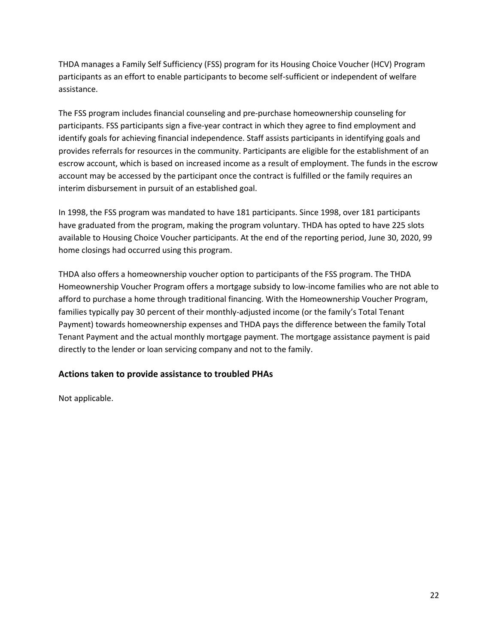THDA manages a Family Self Sufficiency (FSS) program for its Housing Choice Voucher (HCV) Program participants as an effort to enable participants to become self-sufficient or independent of welfare assistance.

The FSS program includes financial counseling and pre-purchase homeownership counseling for participants. FSS participants sign a five-year contract in which they agree to find employment and identify goals for achieving financial independence. Staff assists participants in identifying goals and provides referrals for resources in the community. Participants are eligible for the establishment of an escrow account, which is based on increased income as a result of employment. The funds in the escrow account may be accessed by the participant once the contract is fulfilled or the family requires an interim disbursement in pursuit of an established goal.

In 1998, the FSS program was mandated to have 181 participants. Since 1998, over 181 participants have graduated from the program, making the program voluntary. THDA has opted to have 225 slots available to Housing Choice Voucher participants. At the end of the reporting period, June 30, 2020, 99 home closings had occurred using this program.

THDA also offers a homeownership voucher option to participants of the FSS program. The THDA Homeownership Voucher Program offers a mortgage subsidy to low-income families who are not able to afford to purchase a home through traditional financing. With the Homeownership Voucher Program, families typically pay 30 percent of their monthly-adjusted income (or the family's Total Tenant Payment) towards homeownership expenses and THDA pays the difference between the family Total Tenant Payment and the actual monthly mortgage payment. The mortgage assistance payment is paid directly to the lender or loan servicing company and not to the family.

### **Actions taken to provide assistance to troubled PHAs**

Not applicable.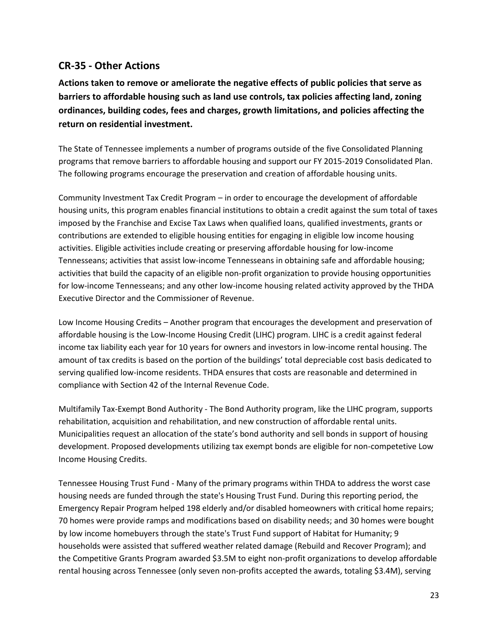### **CR-35 - Other Actions**

**Actions taken to remove or ameliorate the negative effects of public policies that serve as barriers to affordable housing such as land use controls, tax policies affecting land, zoning ordinances, building codes, fees and charges, growth limitations, and policies affecting the return on residential investment.** 

The State of Tennessee implements a number of programs outside of the five Consolidated Planning programs that remove barriers to affordable housing and support our FY 2015-2019 Consolidated Plan. The following programs encourage the preservation and creation of affordable housing units.

Community Investment Tax Credit Program – in order to encourage the development of affordable housing units, this program enables financial institutions to obtain a credit against the sum total of taxes imposed by the Franchise and Excise Tax Laws when qualified loans, qualified investments, grants or contributions are extended to eligible housing entities for engaging in eligible low income housing activities. Eligible activities include creating or preserving affordable housing for low-income Tennesseans; activities that assist low-income Tennesseans in obtaining safe and affordable housing; activities that build the capacity of an eligible non-profit organization to provide housing opportunities for low-income Tennesseans; and any other low-income housing related activity approved by the THDA Executive Director and the Commissioner of Revenue.

Low Income Housing Credits – Another program that encourages the development and preservation of affordable housing is the Low-Income Housing Credit (LIHC) program. LIHC is a credit against federal income tax liability each year for 10 years for owners and investors in low-income rental housing. The amount of tax credits is based on the portion of the buildings' total depreciable cost basis dedicated to serving qualified low-income residents. THDA ensures that costs are reasonable and determined in compliance with Section 42 of the Internal Revenue Code.

Multifamily Tax-Exempt Bond Authority - The Bond Authority program, like the LIHC program, supports rehabilitation, acquisition and rehabilitation, and new construction of affordable rental units. Municipalities request an allocation of the state's bond authority and sell bonds in support of housing development. Proposed developments utilizing tax exempt bonds are eligible for non-competetive Low Income Housing Credits.

Tennessee Housing Trust Fund - Many of the primary programs within THDA to address the worst case housing needs are funded through the state's Housing Trust Fund. During this reporting period, the Emergency Repair Program helped 198 elderly and/or disabled homeowners with critical home repairs; 70 homes were provide ramps and modifications based on disability needs; and 30 homes were bought by low income homebuyers through the state's Trust Fund support of Habitat for Humanity; 9 households were assisted that suffered weather related damage (Rebuild and Recover Program); and the Competitive Grants Program awarded \$3.5M to eight non-profit organizations to develop affordable rental housing across Tennessee (only seven non-profits accepted the awards, totaling \$3.4M), serving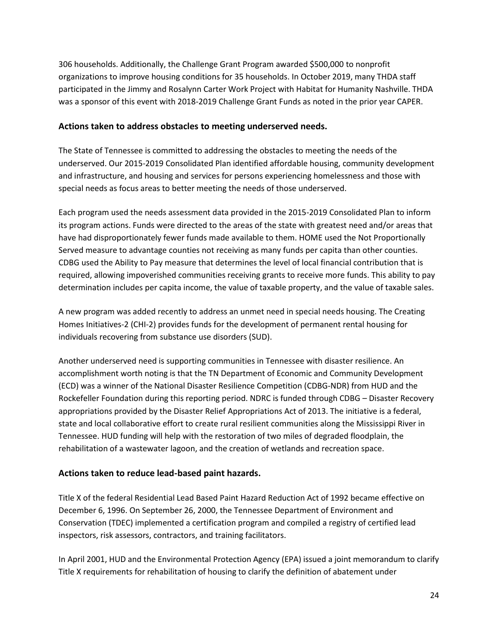306 households. Additionally, the Challenge Grant Program awarded \$500,000 to nonprofit organizations to improve housing conditions for 35 households. In October 2019, many THDA staff participated in the Jimmy and Rosalynn Carter Work Project with Habitat for Humanity Nashville. THDA was a sponsor of this event with 2018-2019 Challenge Grant Funds as noted in the prior year CAPER.

#### **Actions taken to address obstacles to meeting underserved needs.**

The State of Tennessee is committed to addressing the obstacles to meeting the needs of the underserved. Our 2015-2019 Consolidated Plan identified affordable housing, community development and infrastructure, and housing and services for persons experiencing homelessness and those with special needs as focus areas to better meeting the needs of those underserved.

Each program used the needs assessment data provided in the 2015-2019 Consolidated Plan to inform its program actions. Funds were directed to the areas of the state with greatest need and/or areas that have had disproportionately fewer funds made available to them. HOME used the Not Proportionally Served measure to advantage counties not receiving as many funds per capita than other counties. CDBG used the Ability to Pay measure that determines the level of local financial contribution that is required, allowing impoverished communities receiving grants to receive more funds. This ability to pay determination includes per capita income, the value of taxable property, and the value of taxable sales.

A new program was added recently to address an unmet need in special needs housing. The Creating Homes Initiatives-2 (CHI-2) provides funds for the development of permanent rental housing for individuals recovering from substance use disorders (SUD).

Another underserved need is supporting communities in Tennessee with disaster resilience. An accomplishment worth noting is that the TN Department of Economic and Community Development (ECD) was a winner of the National Disaster Resilience Competition (CDBG-NDR) from HUD and the Rockefeller Foundation during this reporting period. NDRC is funded through CDBG – Disaster Recovery appropriations provided by the Disaster Relief Appropriations Act of 2013. The initiative is a federal, state and local collaborative effort to create rural resilient communities along the Mississippi River in Tennessee. HUD funding will help with the restoration of two miles of degraded floodplain, the rehabilitation of a wastewater lagoon, and the creation of wetlands and recreation space.

#### **Actions taken to reduce lead-based paint hazards.**

Title X of the federal Residential Lead Based Paint Hazard Reduction Act of 1992 became effective on December 6, 1996. On September 26, 2000, the Tennessee Department of Environment and Conservation (TDEC) implemented a certification program and compiled a registry of certified lead inspectors, risk assessors, contractors, and training facilitators.

In April 2001, HUD and the Environmental Protection Agency (EPA) issued a joint memorandum to clarify Title X requirements for rehabilitation of housing to clarify the definition of abatement under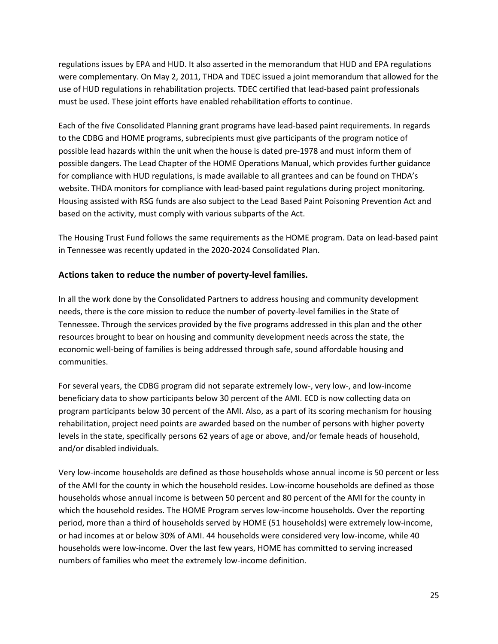regulations issues by EPA and HUD. It also asserted in the memorandum that HUD and EPA regulations were complementary. On May 2, 2011, THDA and TDEC issued a joint memorandum that allowed for the use of HUD regulations in rehabilitation projects. TDEC certified that lead-based paint professionals must be used. These joint efforts have enabled rehabilitation efforts to continue.

Each of the five Consolidated Planning grant programs have lead-based paint requirements. In regards to the CDBG and HOME programs, subrecipients must give participants of the program notice of possible lead hazards within the unit when the house is dated pre-1978 and must inform them of possible dangers. The Lead Chapter of the HOME Operations Manual, which provides further guidance for compliance with HUD regulations, is made available to all grantees and can be found on THDA's website. THDA monitors for compliance with lead-based paint regulations during project monitoring. Housing assisted with RSG funds are also subject to the Lead Based Paint Poisoning Prevention Act and based on the activity, must comply with various subparts of the Act.

The Housing Trust Fund follows the same requirements as the HOME program. Data on lead-based paint in Tennessee was recently updated in the 2020-2024 Consolidated Plan.

#### **Actions taken to reduce the number of poverty-level families.**

In all the work done by the Consolidated Partners to address housing and community development needs, there is the core mission to reduce the number of poverty-level families in the State of Tennessee. Through the services provided by the five programs addressed in this plan and the other resources brought to bear on housing and community development needs across the state, the economic well-being of families is being addressed through safe, sound affordable housing and communities.

For several years, the CDBG program did not separate extremely low-, very low-, and low-income beneficiary data to show participants below 30 percent of the AMI. ECD is now collecting data on program participants below 30 percent of the AMI. Also, as a part of its scoring mechanism for housing rehabilitation, project need points are awarded based on the number of persons with higher poverty levels in the state, specifically persons 62 years of age or above, and/or female heads of household, and/or disabled individuals.

Very low-income households are defined as those households whose annual income is 50 percent or less of the AMI for the county in which the household resides. Low-income households are defined as those households whose annual income is between 50 percent and 80 percent of the AMI for the county in which the household resides. The HOME Program serves low-income households. Over the reporting period, more than a third of households served by HOME (51 households) were extremely low-income, or had incomes at or below 30% of AMI. 44 households were considered very low-income, while 40 households were low-income. Over the last few years, HOME has committed to serving increased numbers of families who meet the extremely low-income definition.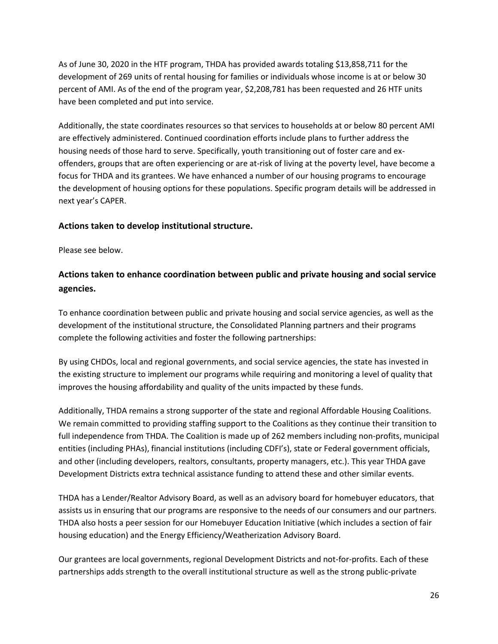As of June 30, 2020 in the HTF program, THDA has provided awards totaling \$13,858,711 for the development of 269 units of rental housing for families or individuals whose income is at or below 30 percent of AMI. As of the end of the program year, \$2,208,781 has been requested and 26 HTF units have been completed and put into service.

Additionally, the state coordinates resources so that services to households at or below 80 percent AMI are effectively administered. Continued coordination efforts include plans to further address the housing needs of those hard to serve. Specifically, youth transitioning out of foster care and exoffenders, groups that are often experiencing or are at-risk of living at the poverty level, have become a focus for THDA and its grantees. We have enhanced a number of our housing programs to encourage the development of housing options for these populations. Specific program details will be addressed in next year's CAPER.

#### **Actions taken to develop institutional structure.**

Please see below.

### **Actions taken to enhance coordination between public and private housing and social service agencies.**

To enhance coordination between public and private housing and social service agencies, as well as the development of the institutional structure, the Consolidated Planning partners and their programs complete the following activities and foster the following partnerships:

By using CHDOs, local and regional governments, and social service agencies, the state has invested in the existing structure to implement our programs while requiring and monitoring a level of quality that improves the housing affordability and quality of the units impacted by these funds.

Additionally, THDA remains a strong supporter of the state and regional Affordable Housing Coalitions. We remain committed to providing staffing support to the Coalitions as they continue their transition to full independence from THDA. The Coalition is made up of 262 members including non-profits, municipal entities (including PHAs), financial institutions (including CDFI's), state or Federal government officials, and other (including developers, realtors, consultants, property managers, etc.). This year THDA gave Development Districts extra technical assistance funding to attend these and other similar events.

THDA has a Lender/Realtor Advisory Board, as well as an advisory board for homebuyer educators, that assists us in ensuring that our programs are responsive to the needs of our consumers and our partners. THDA also hosts a peer session for our Homebuyer Education Initiative (which includes a section of fair housing education) and the Energy Efficiency/Weatherization Advisory Board.

Our grantees are local governments, regional Development Districts and not-for-profits. Each of these partnerships adds strength to the overall institutional structure as well as the strong public-private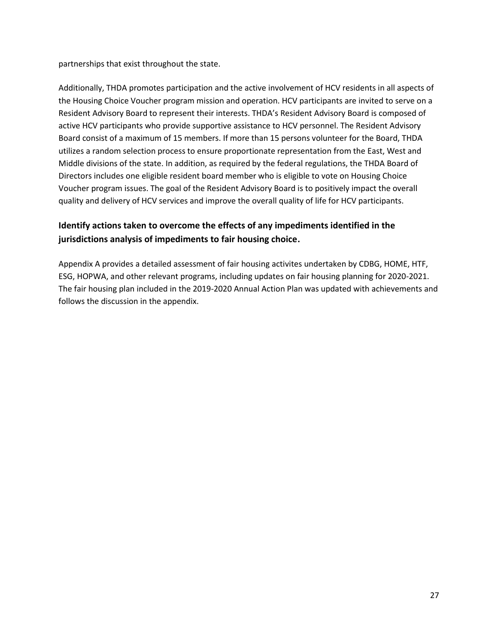partnerships that exist throughout the state.

Additionally, THDA promotes participation and the active involvement of HCV residents in all aspects of the Housing Choice Voucher program mission and operation. HCV participants are invited to serve on a Resident Advisory Board to represent their interests. THDA's Resident Advisory Board is composed of active HCV participants who provide supportive assistance to HCV personnel. The Resident Advisory Board consist of a maximum of 15 members. If more than 15 persons volunteer for the Board, THDA utilizes a random selection process to ensure proportionate representation from the East, West and Middle divisions of the state. In addition, as required by the federal regulations, the THDA Board of Directors includes one eligible resident board member who is eligible to vote on Housing Choice Voucher program issues. The goal of the Resident Advisory Board is to positively impact the overall quality and delivery of HCV services and improve the overall quality of life for HCV participants.

### **Identify actions taken to overcome the effects of any impediments identified in the jurisdictions analysis of impediments to fair housing choice.**

Appendix A provides a detailed assessment of fair housing activites undertaken by CDBG, HOME, HTF, ESG, HOPWA, and other relevant programs, including updates on fair housing planning for 2020-2021. The fair housing plan included in the 2019-2020 Annual Action Plan was updated with achievements and follows the discussion in the appendix.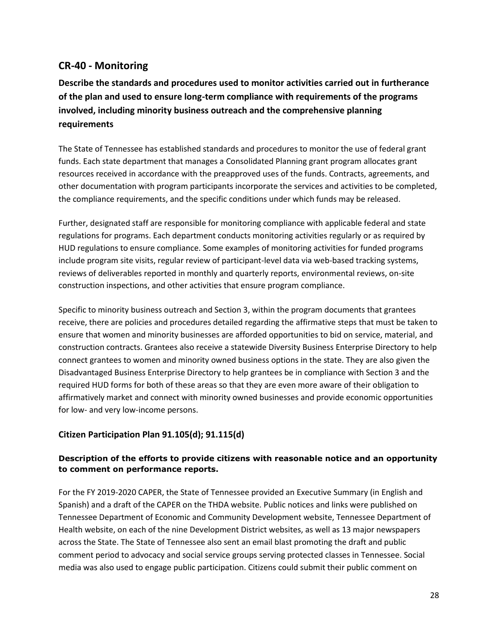### **CR-40 - Monitoring**

**Describe the standards and procedures used to monitor activities carried out in furtherance of the plan and used to ensure long-term compliance with requirements of the programs involved, including minority business outreach and the comprehensive planning requirements**

The State of Tennessee has established standards and procedures to monitor the use of federal grant funds. Each state department that manages a Consolidated Planning grant program allocates grant resources received in accordance with the preapproved uses of the funds. Contracts, agreements, and other documentation with program participants incorporate the services and activities to be completed, the compliance requirements, and the specific conditions under which funds may be released.

Further, designated staff are responsible for monitoring compliance with applicable federal and state regulations for programs. Each department conducts monitoring activities regularly or as required by HUD regulations to ensure compliance. Some examples of monitoring activities for funded programs include program site visits, regular review of participant-level data via web-based tracking systems, reviews of deliverables reported in monthly and quarterly reports, environmental reviews, on-site construction inspections, and other activities that ensure program compliance.

Specific to minority business outreach and Section 3, within the program documents that grantees receive, there are policies and procedures detailed regarding the affirmative steps that must be taken to ensure that women and minority businesses are afforded opportunities to bid on service, material, and construction contracts. Grantees also receive a statewide Diversity Business Enterprise Directory to help connect grantees to women and minority owned business options in the state. They are also given the Disadvantaged Business Enterprise Directory to help grantees be in compliance with Section 3 and the required HUD forms for both of these areas so that they are even more aware of their obligation to affirmatively market and connect with minority owned businesses and provide economic opportunities for low- and very low-income persons.

### **Citizen Participation Plan 91.105(d); 91.115(d)**

#### **Description of the efforts to provide citizens with reasonable notice and an opportunity to comment on performance reports.**

For the FY 2019-2020 CAPER, the State of Tennessee provided an Executive Summary (in English and Spanish) and a draft of the CAPER on the THDA website. Public notices and links were published on Tennessee Department of Economic and Community Development website, Tennessee Department of Health website, on each of the nine Development District websites, as well as 13 major newspapers across the State. The State of Tennessee also sent an email blast promoting the draft and public comment period to advocacy and social service groups serving protected classes in Tennessee. Social media was also used to engage public participation. Citizens could submit their public comment on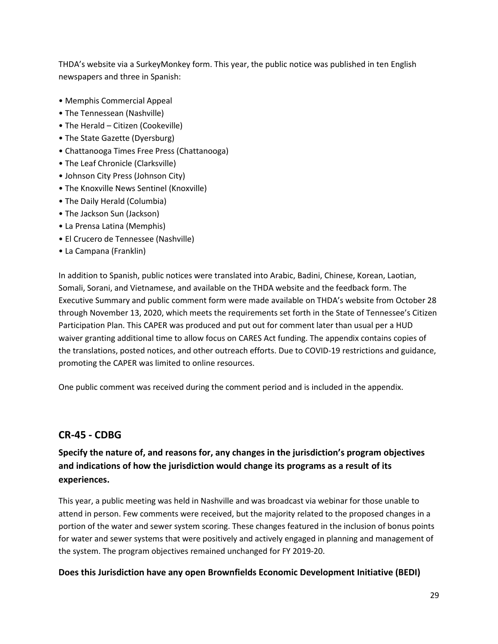THDA's website via a SurkeyMonkey form. This year, the public notice was published in ten English newspapers and three in Spanish:

- Memphis Commercial Appeal
- The Tennessean (Nashville)
- The Herald Citizen (Cookeville)
- The State Gazette (Dyersburg)
- Chattanooga Times Free Press (Chattanooga)
- The Leaf Chronicle (Clarksville)
- Johnson City Press (Johnson City)
- The Knoxville News Sentinel (Knoxville)
- The Daily Herald (Columbia)
- The Jackson Sun (Jackson)
- La Prensa Latina (Memphis)
- El Crucero de Tennessee (Nashville)
- La Campana (Franklin)

In addition to Spanish, public notices were translated into Arabic, Badini, Chinese, Korean, Laotian, Somali, Sorani, and Vietnamese, and available on the THDA website and the feedback form. The Executive Summary and public comment form were made available on THDA's website from October 28 through November 13, 2020, which meets the requirements set forth in the State of Tennessee's Citizen Participation Plan. This CAPER was produced and put out for comment later than usual per a HUD waiver granting additional time to allow focus on CARES Act funding. The appendix contains copies of the translations, posted notices, and other outreach efforts. Due to COVID-19 restrictions and guidance, promoting the CAPER was limited to online resources.

One public comment was received during the comment period and is included in the appendix.

# **CR-45 - CDBG**

# **Specify the nature of, and reasons for, any changes in the jurisdiction's program objectives and indications of how the jurisdiction would change its programs as a result of its experiences.**

This year, a public meeting was held in Nashville and was broadcast via webinar for those unable to attend in person. Few comments were received, but the majority related to the proposed changes in a portion of the water and sewer system scoring. These changes featured in the inclusion of bonus points for water and sewer systems that were positively and actively engaged in planning and management of the system. The program objectives remained unchanged for FY 2019-20.

### **Does this Jurisdiction have any open Brownfields Economic Development Initiative (BEDI)**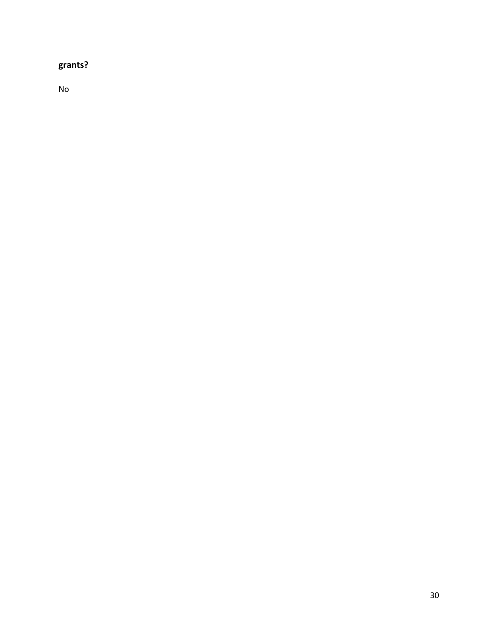# **grants?**

No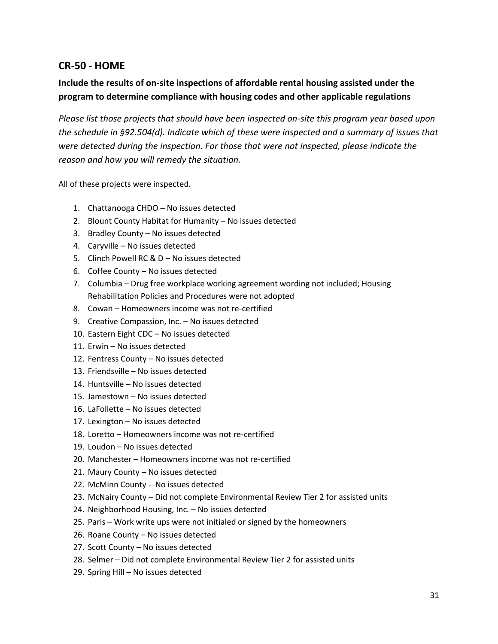### **CR-50 - HOME**

### **Include the results of on-site inspections of affordable rental housing assisted under the program to determine compliance with housing codes and other applicable regulations**

*Please list those projects that should have been inspected on-site this program year based upon the schedule in §92.504(d). Indicate which of these were inspected and a summary of issues that were detected during the inspection. For those that were not inspected, please indicate the reason and how you will remedy the situation.*

All of these projects were inspected.

- 1. Chattanooga CHDO No issues detected
- 2. Blount County Habitat for Humanity No issues detected
- 3. Bradley County No issues detected
- 4. Caryville No issues detected
- 5. Clinch Powell RC & D No issues detected
- 6. Coffee County No issues detected
- 7. Columbia Drug free workplace working agreement wording not included; Housing Rehabilitation Policies and Procedures were not adopted
- 8. Cowan Homeowners income was not re-certified
- 9. Creative Compassion, Inc. No issues detected
- 10. Eastern Eight CDC No issues detected
- 11. Erwin No issues detected
- 12. Fentress County No issues detected
- 13. Friendsville No issues detected
- 14. Huntsville No issues detected
- 15. Jamestown No issues detected
- 16. LaFollette No issues detected
- 17. Lexington No issues detected
- 18. Loretto Homeowners income was not re-certified
- 19. Loudon No issues detected
- 20. Manchester Homeowners income was not re-certified
- 21. Maury County No issues detected
- 22. McMinn County No issues detected
- 23. McNairy County Did not complete Environmental Review Tier 2 for assisted units
- 24. Neighborhood Housing, Inc. No issues detected
- 25. Paris Work write ups were not initialed or signed by the homeowners
- 26. Roane County No issues detected
- 27. Scott County No issues detected
- 28. Selmer Did not complete Environmental Review Tier 2 for assisted units
- 29. Spring Hill No issues detected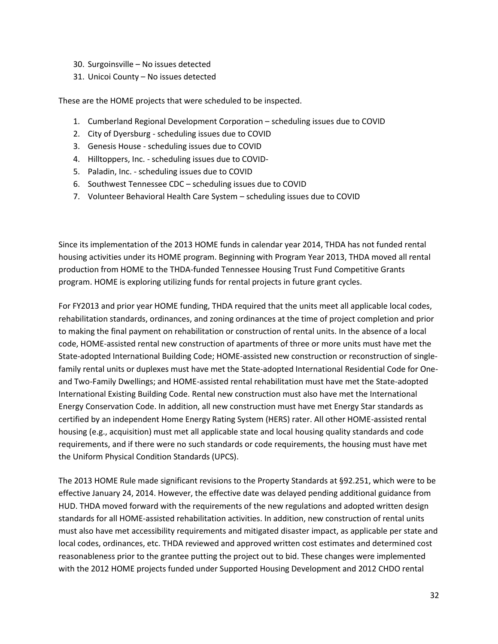- 30. Surgoinsville No issues detected
- 31. Unicoi County No issues detected

These are the HOME projects that were scheduled to be inspected.

- 1. Cumberland Regional Development Corporation scheduling issues due to COVID
- 2. City of Dyersburg scheduling issues due to COVID
- 3. Genesis House scheduling issues due to COVID
- 4. Hilltoppers, Inc. scheduling issues due to COVID-
- 5. Paladin, Inc. scheduling issues due to COVID
- 6. Southwest Tennessee CDC scheduling issues due to COVID
- 7. Volunteer Behavioral Health Care System scheduling issues due to COVID

Since its implementation of the 2013 HOME funds in calendar year 2014, THDA has not funded rental housing activities under its HOME program. Beginning with Program Year 2013, THDA moved all rental production from HOME to the THDA-funded Tennessee Housing Trust Fund Competitive Grants program. HOME is exploring utilizing funds for rental projects in future grant cycles.

For FY2013 and prior year HOME funding, THDA required that the units meet all applicable local codes, rehabilitation standards, ordinances, and zoning ordinances at the time of project completion and prior to making the final payment on rehabilitation or construction of rental units. In the absence of a local code, HOME-assisted rental new construction of apartments of three or more units must have met the State-adopted International Building Code; HOME-assisted new construction or reconstruction of singlefamily rental units or duplexes must have met the State-adopted International Residential Code for Oneand Two-Family Dwellings; and HOME-assisted rental rehabilitation must have met the State-adopted International Existing Building Code. Rental new construction must also have met the International Energy Conservation Code. In addition, all new construction must have met Energy Star standards as certified by an independent Home Energy Rating System (HERS) rater. All other HOME-assisted rental housing (e.g., acquisition) must met all applicable state and local housing quality standards and code requirements, and if there were no such standards or code requirements, the housing must have met the Uniform Physical Condition Standards (UPCS).

The 2013 HOME Rule made significant revisions to the Property Standards at §92.251, which were to be effective January 24, 2014. However, the effective date was delayed pending additional guidance from HUD. THDA moved forward with the requirements of the new regulations and adopted written design standards for all HOME-assisted rehabilitation activities. In addition, new construction of rental units must also have met accessibility requirements and mitigated disaster impact, as applicable per state and local codes, ordinances, etc. THDA reviewed and approved written cost estimates and determined cost reasonableness prior to the grantee putting the project out to bid. These changes were implemented with the 2012 HOME projects funded under Supported Housing Development and 2012 CHDO rental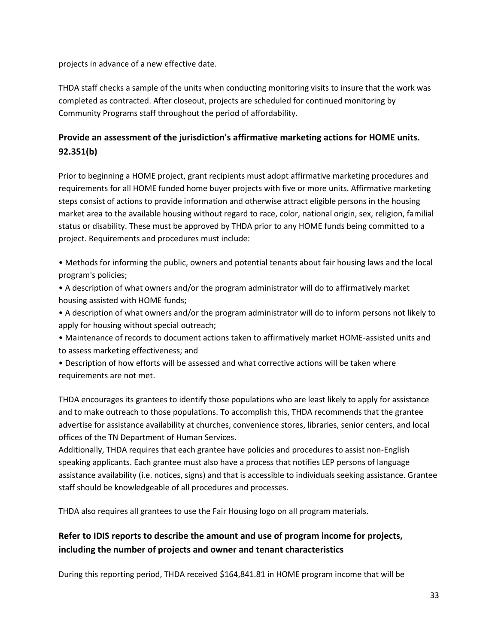projects in advance of a new effective date.

THDA staff checks a sample of the units when conducting monitoring visits to insure that the work was completed as contracted. After closeout, projects are scheduled for continued monitoring by Community Programs staff throughout the period of affordability.

### **Provide an assessment of the jurisdiction's affirmative marketing actions for HOME units. 92.351(b)**

Prior to beginning a HOME project, grant recipients must adopt affirmative marketing procedures and requirements for all HOME funded home buyer projects with five or more units. Affirmative marketing steps consist of actions to provide information and otherwise attract eligible persons in the housing market area to the available housing without regard to race, color, national origin, sex, religion, familial status or disability. These must be approved by THDA prior to any HOME funds being committed to a project. Requirements and procedures must include:

• Methods for informing the public, owners and potential tenants about fair housing laws and the local program's policies;

• A description of what owners and/or the program administrator will do to affirmatively market housing assisted with HOME funds;

• A description of what owners and/or the program administrator will do to inform persons not likely to apply for housing without special outreach;

• Maintenance of records to document actions taken to affirmatively market HOME-assisted units and to assess marketing effectiveness; and

• Description of how efforts will be assessed and what corrective actions will be taken where requirements are not met.

THDA encourages its grantees to identify those populations who are least likely to apply for assistance and to make outreach to those populations. To accomplish this, THDA recommends that the grantee advertise for assistance availability at churches, convenience stores, libraries, senior centers, and local offices of the TN Department of Human Services.

Additionally, THDA requires that each grantee have policies and procedures to assist non-English speaking applicants. Each grantee must also have a process that notifies LEP persons of language assistance availability (i.e. notices, signs) and that is accessible to individuals seeking assistance. Grantee staff should be knowledgeable of all procedures and processes.

THDA also requires all grantees to use the Fair Housing logo on all program materials.

### **Refer to IDIS reports to describe the amount and use of program income for projects, including the number of projects and owner and tenant characteristics**

During this reporting period, THDA received \$164,841.81 in HOME program income that will be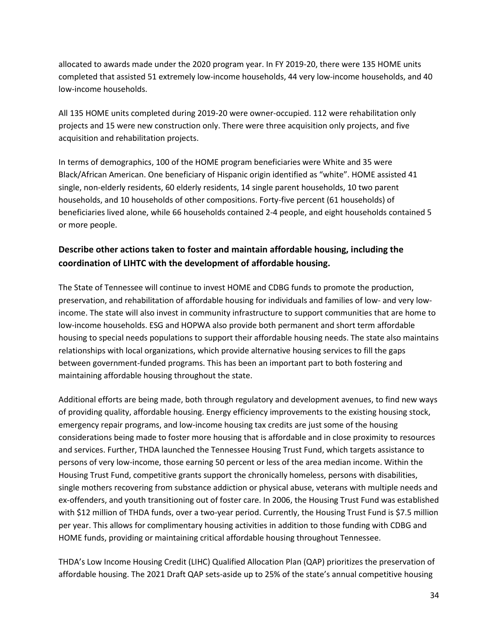allocated to awards made under the 2020 program year. In FY 2019-20, there were 135 HOME units completed that assisted 51 extremely low-income households, 44 very low-income households, and 40 low-income households.

All 135 HOME units completed during 2019-20 were owner-occupied. 112 were rehabilitation only projects and 15 were new construction only. There were three acquisition only projects, and five acquisition and rehabilitation projects.

In terms of demographics, 100 of the HOME program beneficiaries were White and 35 were Black/African American. One beneficiary of Hispanic origin identified as "white". HOME assisted 41 single, non-elderly residents, 60 elderly residents, 14 single parent households, 10 two parent households, and 10 households of other compositions. Forty-five percent (61 households) of beneficiaries lived alone, while 66 households contained 2-4 people, and eight households contained 5 or more people.

### **Describe other actions taken to foster and maintain affordable housing, including the coordination of LIHTC with the development of affordable housing.**

The State of Tennessee will continue to invest HOME and CDBG funds to promote the production, preservation, and rehabilitation of affordable housing for individuals and families of low- and very lowincome. The state will also invest in community infrastructure to support communities that are home to low-income households. ESG and HOPWA also provide both permanent and short term affordable housing to special needs populations to support their affordable housing needs. The state also maintains relationships with local organizations, which provide alternative housing services to fill the gaps between government-funded programs. This has been an important part to both fostering and maintaining affordable housing throughout the state.

Additional efforts are being made, both through regulatory and development avenues, to find new ways of providing quality, affordable housing. Energy efficiency improvements to the existing housing stock, emergency repair programs, and low-income housing tax credits are just some of the housing considerations being made to foster more housing that is affordable and in close proximity to resources and services. Further, THDA launched the Tennessee Housing Trust Fund, which targets assistance to persons of very low-income, those earning 50 percent or less of the area median income. Within the Housing Trust Fund, competitive grants support the chronically homeless, persons with disabilities, single mothers recovering from substance addiction or physical abuse, veterans with multiple needs and ex-offenders, and youth transitioning out of foster care. In 2006, the Housing Trust Fund was established with \$12 million of THDA funds, over a two-year period. Currently, the Housing Trust Fund is \$7.5 million per year. This allows for complimentary housing activities in addition to those funding with CDBG and HOME funds, providing or maintaining critical affordable housing throughout Tennessee.

THDA's Low Income Housing Credit (LIHC) Qualified Allocation Plan (QAP) prioritizes the preservation of affordable housing. The 2021 Draft QAP sets-aside up to 25% of the state's annual competitive housing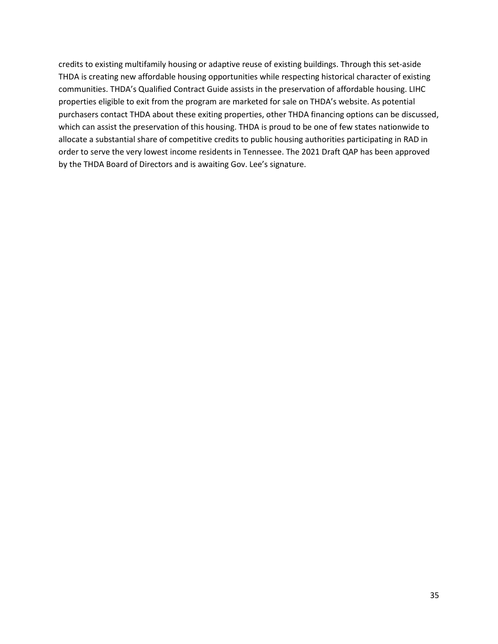credits to existing multifamily housing or adaptive reuse of existing buildings. Through this set-aside THDA is creating new affordable housing opportunities while respecting historical character of existing communities. THDA's Qualified Contract Guide assists in the preservation of affordable housing. LIHC properties eligible to exit from the program are marketed for sale on THDA's website. As potential purchasers contact THDA about these exiting properties, other THDA financing options can be discussed, which can assist the preservation of this housing. THDA is proud to be one of few states nationwide to allocate a substantial share of competitive credits to public housing authorities participating in RAD in order to serve the very lowest income residents in Tennessee. The 2021 Draft QAP has been approved by the THDA Board of Directors and is awaiting Gov. Lee's signature.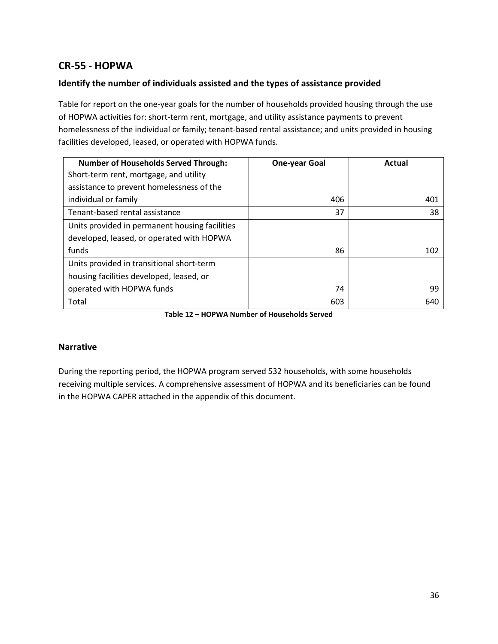# **CR-55 - HOPWA**

### **Identify the number of individuals assisted and the types of assistance provided**

Table for report on the one-year goals for the number of households provided housing through the use of HOPWA activities for: short-term rent, mortgage, and utility assistance payments to prevent homelessness of the individual or family; tenant-based rental assistance; and units provided in housing facilities developed, leased, or operated with HOPWA funds.

| <b>Number of Households Served Through:</b>    | <b>One-year Goal</b> | Actual |
|------------------------------------------------|----------------------|--------|
| Short-term rent, mortgage, and utility         |                      |        |
| assistance to prevent homelessness of the      |                      |        |
| individual or family                           | 406                  | 401    |
| Tenant-based rental assistance                 | 37                   | 38     |
| Units provided in permanent housing facilities |                      |        |
| developed, leased, or operated with HOPWA      |                      |        |
| funds                                          | 86                   | 102    |
| Units provided in transitional short-term      |                      |        |
| housing facilities developed, leased, or       |                      |        |
| operated with HOPWA funds                      | 74                   | 99     |
| Total                                          | 603                  | 640    |

**Table 12 – HOPWA Number of Households Served**

#### **Narrative**

During the reporting period, the HOPWA program served 532 households, with some households receiving multiple services. A comprehensive assessment of HOPWA and its beneficiaries can be found in the HOPWA CAPER attached in the appendix of this document.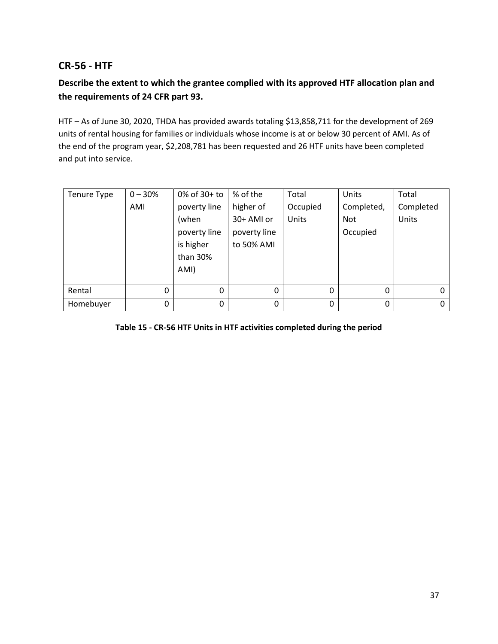### **CR-56 - HTF**

## **Describe the extent to which the grantee complied with its approved HTF allocation plan and the requirements of 24 CFR part 93.**

HTF – As of June 30, 2020, THDA has provided awards totaling \$13,858,711 for the development of 269 units of rental housing for families or individuals whose income is at or below 30 percent of AMI. As of the end of the program year, \$2,208,781 has been requested and 26 HTF units have been completed and put into service.

| Tenure Type | $0 - 30%$ | 0% of 30+ to | % of the     | Total    | Units      | Total     |
|-------------|-----------|--------------|--------------|----------|------------|-----------|
|             | AMI       | poverty line | higher of    | Occupied | Completed, | Completed |
|             |           | (when        | 30+ AMI or   | Units    | <b>Not</b> | Units     |
|             |           | poverty line | poverty line |          | Occupied   |           |
|             |           | is higher    | to 50% AMI   |          |            |           |
|             |           | than 30%     |              |          |            |           |
|             |           | AMI)         |              |          |            |           |
|             |           |              |              |          |            |           |
| Rental      | 0         | $\Omega$     | $\Omega$     | 0        | $\Omega$   | 0         |
| Homebuyer   | 0         | 0            | $\Omega$     | 0        | $\Omega$   | 0         |

### **Table 15 - CR-56 HTF Units in HTF activities completed during the period**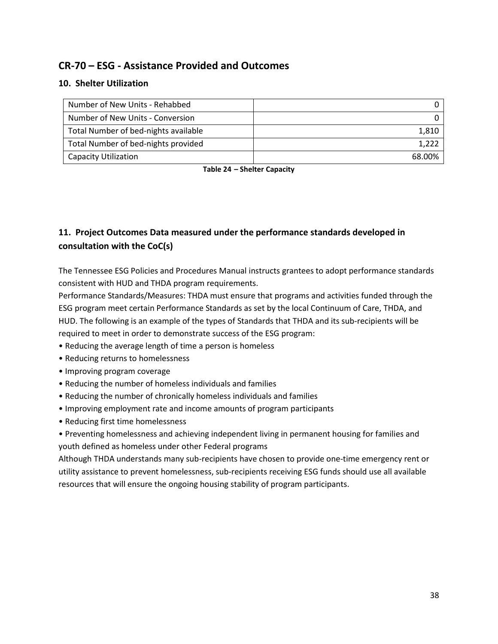# **CR-70 – ESG - Assistance Provided and Outcomes**

### **10. Shelter Utilization**

| Number of New Units - Rehabbed       |        |
|--------------------------------------|--------|
| Number of New Units - Conversion     |        |
| Total Number of bed-nights available | 1,810  |
| Total Number of bed-nights provided  | 1.222  |
| Capacity Utilization                 | 68.00% |

**Table 24 – Shelter Capacity**

# **11. Project Outcomes Data measured under the performance standards developed in consultation with the CoC(s)**

The Tennessee ESG Policies and Procedures Manual instructs grantees to adopt performance standards consistent with HUD and THDA program requirements.

Performance Standards/Measures: THDA must ensure that programs and activities funded through the ESG program meet certain Performance Standards as set by the local Continuum of Care, THDA, and HUD. The following is an example of the types of Standards that THDA and its sub-recipients will be required to meet in order to demonstrate success of the ESG program:

- Reducing the average length of time a person is homeless
- Reducing returns to homelessness
- Improving program coverage
- Reducing the number of homeless individuals and families
- Reducing the number of chronically homeless individuals and families
- Improving employment rate and income amounts of program participants
- Reducing first time homelessness
- Preventing homelessness and achieving independent living in permanent housing for families and youth defined as homeless under other Federal programs

Although THDA understands many sub-recipients have chosen to provide one-time emergency rent or utility assistance to prevent homelessness, sub-recipients receiving ESG funds should use all available resources that will ensure the ongoing housing stability of program participants.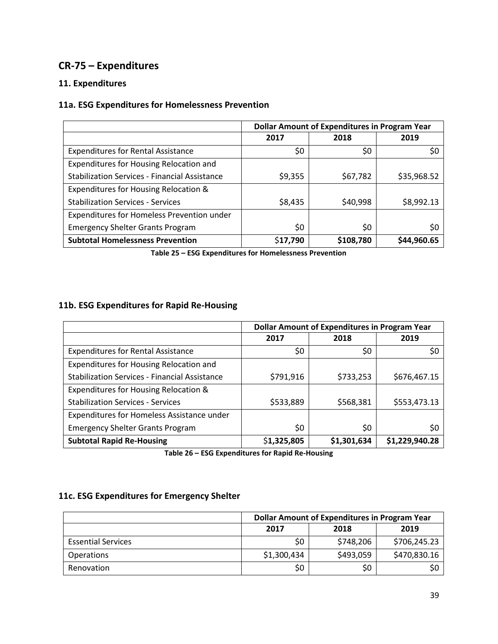# **CR-75 – Expenditures**

### **11. Expenditures**

### **11a. ESG Expenditures for Homelessness Prevention**

|                                                      | <b>Dollar Amount of Expenditures in Program Year</b> |           |             |  |
|------------------------------------------------------|------------------------------------------------------|-----------|-------------|--|
|                                                      | 2017                                                 | 2018      | 2019        |  |
| <b>Expenditures for Rental Assistance</b>            | \$0                                                  | \$0       | \$0         |  |
| Expenditures for Housing Relocation and              |                                                      |           |             |  |
| <b>Stabilization Services - Financial Assistance</b> | \$9,355                                              | \$67,782  | \$35,968.52 |  |
| Expenditures for Housing Relocation &                |                                                      |           |             |  |
| <b>Stabilization Services - Services</b>             | \$8,435                                              | \$40,998  | \$8,992.13  |  |
| Expenditures for Homeless Prevention under           |                                                      |           |             |  |
| <b>Emergency Shelter Grants Program</b>              | \$0                                                  | \$0       | \$0         |  |
| <b>Subtotal Homelessness Prevention</b>              | \$17,790                                             | \$108,780 | \$44,960.65 |  |

**Table 25 – ESG Expenditures for Homelessness Prevention**

### **11b. ESG Expenditures for Rapid Re-Housing**

|                                                      | <b>Dollar Amount of Expenditures in Program Year</b> |             |                |  |
|------------------------------------------------------|------------------------------------------------------|-------------|----------------|--|
|                                                      | 2017                                                 | 2018        | 2019           |  |
| <b>Expenditures for Rental Assistance</b>            | \$0                                                  | \$0         | \$0            |  |
| Expenditures for Housing Relocation and              |                                                      |             |                |  |
| <b>Stabilization Services - Financial Assistance</b> | \$791,916                                            | \$733,253   | \$676,467.15   |  |
| Expenditures for Housing Relocation &                |                                                      |             |                |  |
| <b>Stabilization Services - Services</b>             | \$533,889                                            | \$568,381   | \$553,473.13   |  |
| Expenditures for Homeless Assistance under           |                                                      |             |                |  |
| <b>Emergency Shelter Grants Program</b>              | \$0                                                  | \$0         | \$0            |  |
| <b>Subtotal Rapid Re-Housing</b>                     | \$1,325,805                                          | \$1,301,634 | \$1,229,940.28 |  |

**Table 26 – ESG Expenditures for Rapid Re-Housing**

### **11c. ESG Expenditures for Emergency Shelter**

|                           | <b>Dollar Amount of Expenditures in Program Year</b> |           |              |  |
|---------------------------|------------------------------------------------------|-----------|--------------|--|
|                           | 2019<br>2017<br>2018                                 |           |              |  |
| <b>Essential Services</b> | \$0                                                  | \$748,206 | \$706,245.23 |  |
| <b>Operations</b>         | \$1,300,434                                          | \$493,059 | \$470,830.16 |  |
| Renovation                | \$0                                                  | \$0       |              |  |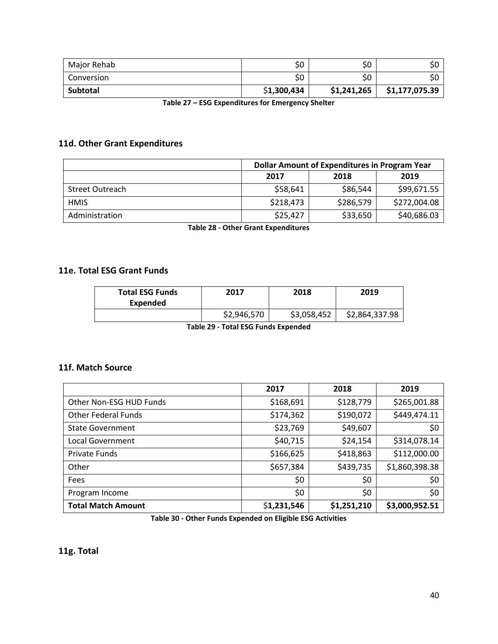| Major Rehab     | \$0         | \$0         | \$0            |
|-----------------|-------------|-------------|----------------|
| Conversion      | \$0         | \$0         | \$0            |
| <b>Subtotal</b> | \$1,300,434 | \$1,241,265 | \$1,177,075.39 |

**Table 27 – ESG Expenditures for Emergency Shelter**

### **11d. Other Grant Expenditures**

|                        | <b>Dollar Amount of Expenditures in Program Year</b> |           |              |
|------------------------|------------------------------------------------------|-----------|--------------|
|                        | 2017                                                 | 2018      | 2019         |
| <b>Street Outreach</b> | \$58,641                                             | \$86,544  | \$99,671.55  |
| <b>HMIS</b>            | \$218,473                                            | \$286,579 | \$272,004.08 |
| Administration         | \$25,427                                             | \$33,650  | \$40,686.03  |

**Table 28 - Other Grant Expenditures**

### **11e. Total ESG Grant Funds**

| <b>Total ESG Funds</b><br>Expended | 2017        | 2018        | 2019           |
|------------------------------------|-------------|-------------|----------------|
|                                    | \$2,946,570 | \$3,058,452 | \$2,864,337.98 |

**Table 29 - Total ESG Funds Expended**

#### **11f. Match Source**

|                            | 2017        | 2018        | 2019           |
|----------------------------|-------------|-------------|----------------|
| Other Non-ESG HUD Funds    | \$168,691   | \$128,779   | \$265,001.88   |
| <b>Other Federal Funds</b> | \$174,362   | \$190,072   | \$449,474.11   |
| <b>State Government</b>    | \$23,769    | \$49,607    | \$0            |
| Local Government           | \$40,715    | \$24,154    | \$314,078.14   |
| <b>Private Funds</b>       | \$166,625   | \$418,863   | \$112,000.00   |
| Other                      | \$657,384   | \$439,735   | \$1,860,398.38 |
| Fees                       | \$0         | \$0         | \$0            |
| Program Income             | \$0         | \$0         | \$0            |
| <b>Total Match Amount</b>  | \$1,231,546 | \$1,251,210 | \$3,000,952.51 |

**Table 30 - Other Funds Expended on Eligible ESG Activities**

**11g. Total**